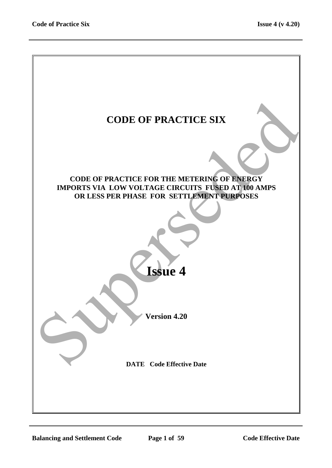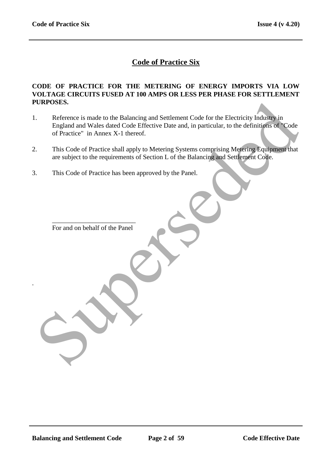# **Code of Practice Six**

#### **CODE OF PRACTICE FOR THE METERING OF ENERGY IMPORTS VIA LOW VOLTAGE CIRCUITS FUSED AT 100 AMPS OR LESS PER PHASE FOR SETTLEMENT PURPOSES.**

- 1. Reference is made to the Balancing and Settlement Code for the Electricity Industry in England and Wales dated Code Effective Date and, in particular, to the definitions of "Code of Practice" in Annex X-1 thereof. TRIPOSES.<br>
Reference is made to the Balancing and Settlement Code for the Electricity Industry in<br>
England and Wales dated Code Effective Date and, in particular, to the definitions of Code<br>
of Practice" in Annex X-1 there
- 2. This Code of Practice shall apply to Metering Systems comprising Metering Equipment that are subject to the requirements of Section L of the Balancing and Settlement Code.
- 3. This Code of Practice has been approved by the Panel.

\_\_\_\_\_\_\_\_\_\_\_\_\_\_\_\_\_\_\_\_\_\_\_\_\_ For and on behalf of the Panel

.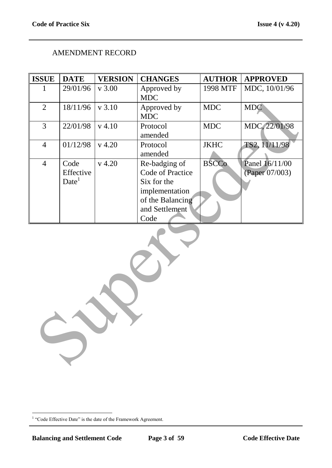# AMENDMENT RECORD

| 29/01/96 | v 3.00                                                         |                                  |                                                                                                                                                                                             |                                                         |
|----------|----------------------------------------------------------------|----------------------------------|---------------------------------------------------------------------------------------------------------------------------------------------------------------------------------------------|---------------------------------------------------------|
|          |                                                                | Approved by                      | 1998 MTF                                                                                                                                                                                    | MDC, 10/01/96                                           |
|          |                                                                | <b>MDC</b>                       |                                                                                                                                                                                             |                                                         |
| 18/11/96 | v 3.10                                                         |                                  |                                                                                                                                                                                             | <b>MDC</b>                                              |
|          |                                                                |                                  |                                                                                                                                                                                             |                                                         |
|          |                                                                |                                  |                                                                                                                                                                                             | MDC, 22/01/98                                           |
|          |                                                                |                                  |                                                                                                                                                                                             |                                                         |
|          |                                                                |                                  |                                                                                                                                                                                             | TS2, 11/11/98                                           |
|          |                                                                |                                  |                                                                                                                                                                                             |                                                         |
|          |                                                                |                                  |                                                                                                                                                                                             | Panel 16/11/00                                          |
|          |                                                                |                                  |                                                                                                                                                                                             | (Paper 07/003)                                          |
|          |                                                                |                                  |                                                                                                                                                                                             |                                                         |
|          |                                                                |                                  |                                                                                                                                                                                             |                                                         |
|          |                                                                |                                  |                                                                                                                                                                                             |                                                         |
|          |                                                                |                                  |                                                                                                                                                                                             |                                                         |
|          |                                                                |                                  |                                                                                                                                                                                             |                                                         |
|          | 22/01/98<br>01/12/98<br>Code<br>Effective<br>Date <sup>1</sup> | $v$ 4.10<br>$v$ 4.20<br>$v$ 4.20 | Approved by<br><b>MDC</b><br>Protocol<br>amended<br>Protocol<br>amended<br>Re-badging of<br>Code of Practice<br>Six for the<br>implementation<br>of the Balancing<br>and Settlement<br>Code | <b>MDC</b><br><b>MDC</b><br><b>JKHC</b><br><b>BSCCo</b> |

<sup>&</sup>lt;sup>1</sup> "Code Effective Date" is the date of the Framework Agreement.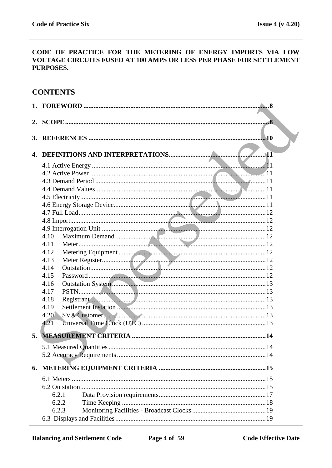#### CODE OF PRACTICE FOR THE METERING OF ENERGY IMPORTS VIA LOW VOLTAGE CIRCUITS FUSED AT 100 AMPS OR LESS PER PHASE FOR SETTLEMENT PURPOSES.

# **CONTENTS**

| 2. |       |  |
|----|-------|--|
| 3. | .10   |  |
|    |       |  |
| 4. |       |  |
|    |       |  |
|    |       |  |
|    |       |  |
|    |       |  |
|    |       |  |
|    |       |  |
|    |       |  |
|    |       |  |
|    | 4.10  |  |
|    | 4.11  |  |
|    | 4.12  |  |
|    | 4.13  |  |
|    | 4.14  |  |
|    | 4.15  |  |
|    | 4.16  |  |
|    | 4.17  |  |
|    | 4.18  |  |
|    | 4.19  |  |
|    | 4.20  |  |
|    | 4.21  |  |
| 5. |       |  |
|    |       |  |
|    |       |  |
|    |       |  |
|    |       |  |
|    |       |  |
|    |       |  |
|    | 6.2.1 |  |
|    | 6.2.2 |  |
|    | 6.2.3 |  |
|    |       |  |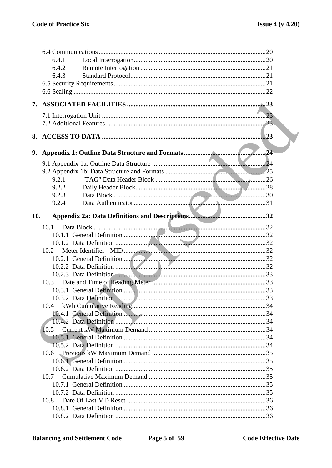|     | 6.4.1                                                                   |     |
|-----|-------------------------------------------------------------------------|-----|
|     | 6.4.2                                                                   |     |
|     | 6.4.3                                                                   |     |
|     |                                                                         |     |
|     |                                                                         |     |
| 7.  |                                                                         |     |
|     |                                                                         |     |
|     |                                                                         |     |
| 8.  |                                                                         | .23 |
|     |                                                                         |     |
| 9.  |                                                                         |     |
|     |                                                                         |     |
|     |                                                                         |     |
|     | 9.2.1                                                                   |     |
|     | 9.2.2                                                                   |     |
|     | 9.2.3                                                                   |     |
|     | 9.2.4                                                                   |     |
| 10. |                                                                         |     |
|     |                                                                         |     |
|     | 10.1                                                                    |     |
|     |                                                                         |     |
|     | 10.2                                                                    |     |
|     |                                                                         |     |
|     |                                                                         |     |
|     |                                                                         |     |
|     | 10.3                                                                    |     |
|     |                                                                         |     |
|     |                                                                         |     |
|     | 10.4                                                                    |     |
|     | 10.4.1 General Definition <b>Manual Manual Communistic Communist</b> 34 |     |
|     |                                                                         |     |
|     | 10.5                                                                    |     |
|     |                                                                         |     |
|     |                                                                         |     |
|     |                                                                         |     |
|     |                                                                         |     |
|     |                                                                         |     |
|     | 10.7                                                                    |     |
|     |                                                                         |     |
|     |                                                                         |     |
|     | 10.8                                                                    |     |
|     |                                                                         |     |
|     |                                                                         |     |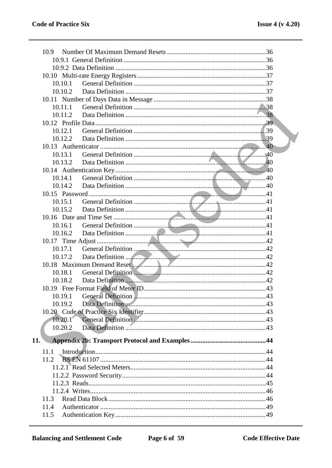| 10.9                                                                                                                                                                                                                                      |  |
|-------------------------------------------------------------------------------------------------------------------------------------------------------------------------------------------------------------------------------------------|--|
|                                                                                                                                                                                                                                           |  |
|                                                                                                                                                                                                                                           |  |
|                                                                                                                                                                                                                                           |  |
| 10.10.1                                                                                                                                                                                                                                   |  |
| 10.10.2                                                                                                                                                                                                                                   |  |
|                                                                                                                                                                                                                                           |  |
| 10.11.1                                                                                                                                                                                                                                   |  |
| 10.11.2                                                                                                                                                                                                                                   |  |
|                                                                                                                                                                                                                                           |  |
| 10.12.1                                                                                                                                                                                                                                   |  |
|                                                                                                                                                                                                                                           |  |
|                                                                                                                                                                                                                                           |  |
| 10.13.1                                                                                                                                                                                                                                   |  |
| 10.13.2                                                                                                                                                                                                                                   |  |
|                                                                                                                                                                                                                                           |  |
| 10.14.1                                                                                                                                                                                                                                   |  |
| 10.14.2                                                                                                                                                                                                                                   |  |
|                                                                                                                                                                                                                                           |  |
| 10.15.1                                                                                                                                                                                                                                   |  |
| 10.15.2                                                                                                                                                                                                                                   |  |
|                                                                                                                                                                                                                                           |  |
| 10.16.1                                                                                                                                                                                                                                   |  |
| 10.16.2                                                                                                                                                                                                                                   |  |
|                                                                                                                                                                                                                                           |  |
| 10.17.1<br>10.17.2                                                                                                                                                                                                                        |  |
|                                                                                                                                                                                                                                           |  |
| 10.18.1                                                                                                                                                                                                                                   |  |
| Data Definition 2000 and 2000 and 2000 and 2000 and 2000 and 2000 and 2000 and 2000 and 2000 and 2000 and 2000 and 2000 and 2000 and 2000 and 2000 and 2000 and 2000 and 2000 and 2000 and 2000 and 2000 and 2000 and 2000 and<br>10.18.2 |  |
|                                                                                                                                                                                                                                           |  |
|                                                                                                                                                                                                                                           |  |
| 10.19.2                                                                                                                                                                                                                                   |  |
|                                                                                                                                                                                                                                           |  |
| 10.20.1                                                                                                                                                                                                                                   |  |
| 10.20.2                                                                                                                                                                                                                                   |  |
|                                                                                                                                                                                                                                           |  |
| 11.                                                                                                                                                                                                                                       |  |
| 11.1                                                                                                                                                                                                                                      |  |
| 11.2                                                                                                                                                                                                                                      |  |
|                                                                                                                                                                                                                                           |  |
|                                                                                                                                                                                                                                           |  |
|                                                                                                                                                                                                                                           |  |
|                                                                                                                                                                                                                                           |  |
| 11.3                                                                                                                                                                                                                                      |  |
| 11.4                                                                                                                                                                                                                                      |  |
| 11.5                                                                                                                                                                                                                                      |  |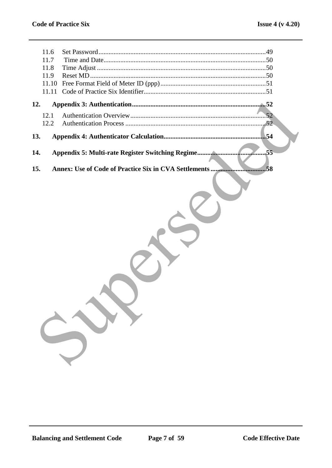| 11.6<br>11.7<br>11.8<br>11.9<br>11.10<br>11.11 |                                                             |
|------------------------------------------------|-------------------------------------------------------------|
| 12.                                            |                                                             |
| 12.1<br>12.2                                   | .52                                                         |
| 13.                                            | 54                                                          |
| 14.                                            | .55                                                         |
| 15.                                            | Annex: Use of Code of Practice Six in CVA Settlements<br>58 |
|                                                |                                                             |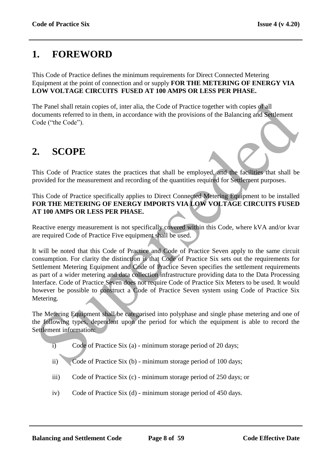# **1. FOREWORD**

This Code of Practice defines the minimum requirements for Direct Connected Metering Equipment at the point of connection and or supply **FOR THE METERING OF ENERGY VIA LOW VOLTAGE CIRCUITS FUSED AT 100 AMPS OR LESS PER PHASE.**

The Panel shall retain copies of, inter alia, the Code of Practice together with copies of all documents referred to in them, in accordance with the provisions of the Balancing and Settlement Code ("the Code").

# **2. SCOPE**

This Code of Practice states the practices that shall be employed, and the facilities that shall be provided for the measurement and recording of the quantities required for Settlement purposes.

This Code of Practice specifically applies to Direct Connected Metering Equipment to be installed **FOR THE METERING OF ENERGY IMPORTS VIA LOW VOLTAGE CIRCUITS FUSED AT 100 AMPS OR LESS PER PHASE.**

Reactive energy measurement is not specifically covered within this Code, where kVA and/or kvar are required Code of Practice Five equipment shall be used.

It will be noted that this Code of Practice and Code of Practice Seven apply to the same circuit consumption. For clarity the distinction is that Code of Practice Six sets out the requirements for Settlement Metering Equipment and Code of Practice Seven specifies the settlement requirements as part of a wider metering and data collection infrastructure providing data to the Data Processing Interface. Code of Practice Seven does not require Code of Practice Six Meters to be used. It would however be possible to construct a Code of Practice Seven system using Code of Practice Six Metering. The Panel shall retain copies of, inter alia, the Code of Practice together with copies of all<br>ocuments referred to in them, in accordance with the provisions of the Balancing and Seulement<br>code ("the Code").<br><br>**SCOPE**<br><br>**SC** 

The Metering Equipment shall be categorised into polyphase and single phase metering and one of the following types, dependent upon the period for which the equipment is able to record the Settlement information:

- i) Code of Practice Six (a) minimum storage period of 20 days;
- ii) Code of Practice Six (b) minimum storage period of 100 days;
- iii) Code of Practice Six (c) minimum storage period of 250 days; or
- iv) Code of Practice Six (d) minimum storage period of 450 days.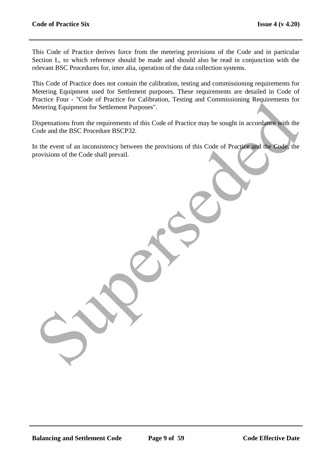This Code of Practice derives force from the metering provisions of the Code and in particular Section L, to which reference should be made and should also be read in conjunction with the relevant BSC Procedures for, inter alia, operation of the data collection systems.

This Code of Practice does not contain the calibration, testing and commissioning requirements for Metering Equipment used for Settlement purposes. These requirements are detailed in Code of Practice Four - "Code of Practice for Calibration, Testing and Commissioning Requirements for Metering Equipment for Settlement Purposes".

Dispensations from the requirements of this Code of Practice may be sought in accordance with the Code and the BSC Procedure BSCP32. Enter tours - Code on France Tor Cantagnon, resultg and commissioning requirements for<br>detering Equipment for Settlement Purposes<sup>1</sup>.<br>Sispensations from the requirements of this Code of Practice may be sought in accordance

In the event of an inconsistency between the provisions of this Code of Practice and the Code, the provisions of the Code shall prevail.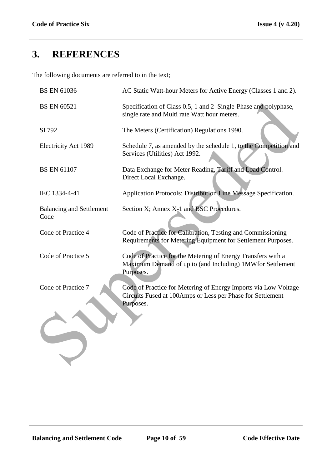# **3. REFERENCES**

The following documents are referred to in the text;

| <b>BS EN 61036</b>                      | AC Static Watt-hour Meters for Active Energy (Classes 1 and 2).                                                                            |
|-----------------------------------------|--------------------------------------------------------------------------------------------------------------------------------------------|
| <b>BS EN 60521</b>                      | Specification of Class 0.5, 1 and 2 Single-Phase and polyphase,<br>single rate and Multi rate Watt hour meters.                            |
| SI 792                                  | The Meters (Certification) Regulations 1990.                                                                                               |
| <b>Electricity Act 1989</b>             | Schedule 7, as amended by the schedule 1, to the Competition and<br>Services (Utilities) Act 1992.                                         |
| <b>BS EN 61107</b>                      | Data Exchange for Meter Reading, Tariff and Load Control.<br>Direct Local Exchange.                                                        |
| IEC 1334-4-41                           | Application Protocols: Distribution Line Message Specification.                                                                            |
| <b>Balancing and Settlement</b><br>Code | Section X; Annex X-1 and BSC Procedures.                                                                                                   |
| Code of Practice 4                      | Code of Practice for Calibration, Testing and Commissioning<br>Requirements for Metering Equipment for Settlement Purposes.                |
| Code of Practice 5                      | Code of Practice for the Metering of Energy Transfers with a<br>Maximum Demand of up to (and Including) 1MWfor Settlement<br>Purposes.     |
| Code of Practice 7                      | Code of Practice for Metering of Energy Imports via Low Voltage<br>Circuits Fused at 100Amps or Less per Phase for Settlement<br>Purposes. |
|                                         |                                                                                                                                            |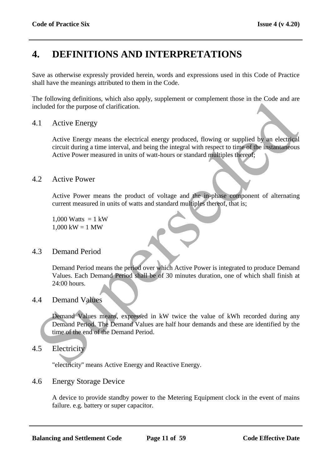# **4. DEFINITIONS AND INTERPRETATIONS**

Save as otherwise expressly provided herein, words and expressions used in this Code of Practice shall have the meanings attributed to them in the Code.

The following definitions, which also apply, supplement or complement those in the Code and are included for the purpose of clarification.

# 4.1 Active Energy

Active Energy means the electrical energy produced, flowing or supplied by an electrical circuit during a time interval, and being the integral with respect to time of the instantaneous Active Power measured in units of watt-hours or standard multiples thereof; The convention of the Demand Period Splits, exploration of the value of the purpose of clarification.<br>
The civil definite a complete the property of the method of the purpose of clarification.<br>
The civil definite a comple

# 4.2 Active Power

Active Power means the product of voltage and the in-phase component of alternating current measured in units of watts and standard multiples thereof, that is;

1,000 Watts  $= 1$  kW  $1,000$  kW = 1 MW

# 4.3 Demand Period

Demand Period means the period over which Active Power is integrated to produce Demand Values. Each Demand Period shall be of 30 minutes duration, one of which shall finish at 24:00 hours.

# 4.4 Demand Values

Demand Values means, expressed in kW twice the value of kWh recorded during any Demand Period. The Demand Values are half hour demands and these are identified by the time of the end of the Demand Period.

# 4.5 Electricity

"electricity" means Active Energy and Reactive Energy.

# 4.6 Energy Storage Device

A device to provide standby power to the Metering Equipment clock in the event of mains failure. e.g. battery or super capacitor.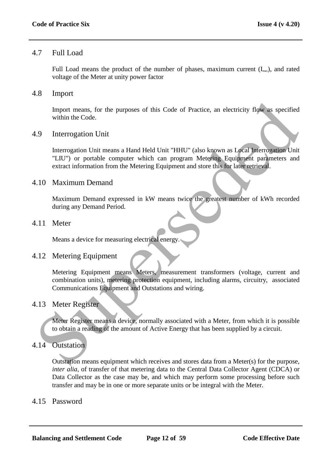# 4.7 Full Load

Full Load means the product of the number of phases, maximum current  $(I_{\text{max}})$ , and rated voltage of the Meter at unity power factor

# 4.8 Import

Import means, for the purposes of this Code of Practice, an electricity flow as specified within the Code.

# 4.9 Interrogation Unit

Interrogation Unit means a Hand Held Unit "HHU" (also known as Local Interrogation Unit "LIU") or portable computer which can program Metering Equipment parameters and extract information from the Metering Equipment and store this for later retrieval. mport means, for the purposes of this Code of Practice, an electricity flow as specified<br>within the Code.<br><br>9. Interrogation Unit<br>thermogation Unit<br>thermogation Unit<br>thermogation Unit<br>thermogation Unit<br>thermogation Unit<br>wit

# 4.10 Maximum Demand

Maximum Demand expressed in kW means twice the greatest number of kWh recorded during any Demand Period.

# 4.11 Meter

Means a device for measuring electrical energy.

# 4.12 Metering Equipment

Metering Equipment means Meters, measurement transformers (voltage, current and combination units), metering protection equipment, including alarms, circuitry, associated Communications Equipment and Outstations and wiring.

# 4.13 Meter Register

Meter Register means a device, normally associated with a Meter, from which it is possible to obtain a reading of the amount of Active Energy that has been supplied by a circuit.

# 4.14 Outstation

Outstation means equipment which receives and stores data from a Meter(s) for the purpose, *inter alia,* of transfer of that metering data to the Central Data Collector Agent (CDCA) or Data Collector as the case may be, and which may perform some processing before such transfer and may be in one or more separate units or be integral with the Meter.

# 4.15 Password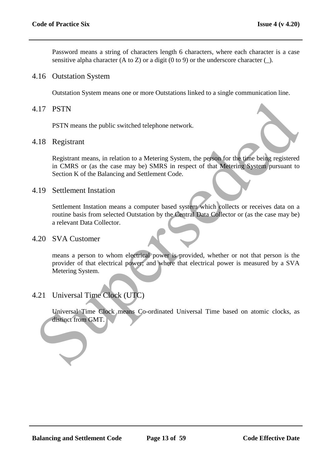Password means a string of characters length 6 characters, where each character is a case sensitive alpha character (A to Z) or a digit (0 to 9) or the underscore character  $(\_)$ .

#### 4.16 Outstation System

Outstation System means one or more Outstations linked to a single communication line.

#### 4.17 PSTN

PSTN means the public switched telephone network.

#### 4.18 Registrant

Registrant means, in relation to a Metering System, the person for the time being registered in CMRS or (as the case may be) SMRS in respect of that Metering System pursuant to Section K of the Balancing and Settlement Code. 17 PSTN<br>
PSTN means the public switched telephone network.<br>
18 Registrant<br>
Registrant means, in relation to a Metering System, the peson for the best<br>
received in CMRS or (as the case may be) SMRS in respect of that Meteri

## 4.19 Settlement Instation

Settlement Instation means a computer based system which collects or receives data on a routine basis from selected Outstation by the Central Data Collector or (as the case may be) a relevant Data Collector.

#### 4.20 SVA Customer

means a person to whom electrical power is provided, whether or not that person is the provider of that electrical power; and where that electrical power is measured by a SVA Metering System.

# 4.21 Universal Time Clock (UTC)

Universal Time Clock means Co-ordinated Universal Time based on atomic clocks, as distinct from GMT.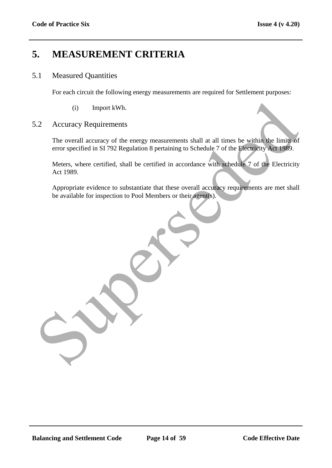# **5. MEASUREMENT CRITERIA**

## 5.1 Measured Quantities

For each circuit the following energy measurements are required for Settlement purposes:

(i) Import kWh.

#### 5.2 Accuracy Requirements

The overall accuracy of the energy measurements shall at all times be within the limits of error specified in SI 792 Regulation 8 pertaining to Schedule 7 of the Electricity Act 1989. (i) Import kWh.<br>
2. Accuracy Requirements<br>
The overall accuracy of the energy measurements shall at all times be within the limits of<br>
error specified in SI 792 Regulation 8 pertaining to Schedule 7 of the Electricity<br>
Acc

Meters, where certified, shall be certified in accordance with schedule 7 of the Electricity Act 1989.

Appropriate evidence to substantiate that these overall accuracy requirements are met shall be available for inspection to Pool Members or their agent(s).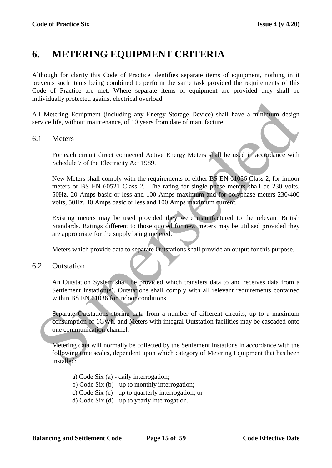# **6. METERING EQUIPMENT CRITERIA**

Although for clarity this Code of Practice identifies separate items of equipment, nothing in it prevents such items being combined to perform the same task provided the requirements of this Code of Practice are met. Where separate items of equipment are provided they shall be individually protected against electrical overload.

All Metering Equipment (including any Energy Storage Device) shall have a minimum design service life, without maintenance, of 10 years from date of manufacture.

## 6.1 Meters

For each circuit direct connected Active Energy Meters shall be used in accordance with Schedule 7 of the Electricity Act 1989.

New Meters shall comply with the requirements of either BS EN 61036 Class 2, for indoor meters or BS EN 60521 Class 2. The rating for single phase meters shall be 230 volts, 50Hz, 20 Amps basic or less and 100 Amps maximum and for polyphase meters 230/400 volts, 50Hz, 40 Amps basic or less and 100 Amps maximum current. Substituting Equipment (including any Energy Storage Device) shall have a minimum design<br>
Substitute Equipment (including any Energy Storage Device) shall have a minimum design<br>
Pervice life, without maintenance, of 10 yea

Existing meters may be used provided they were manufactured to the relevant British Standards. Ratings different to those quoted for new meters may be utilised provided they are appropriate for the supply being metered.

Meters which provide data to separate Outstations shall provide an output for this purpose.

#### 6.2 Outstation

An Outstation System shall be provided which transfers data to and receives data from a Settlement Instation(s). Outstations shall comply with all relevant requirements contained within BS EN 61036 for indoor conditions.

Separate Outstations storing data from a number of different circuits, up to a maximum consumption of 1GWh, and Meters with integral Outstation facilities may be cascaded onto one communication channel.

Metering data will normally be collected by the Settlement Instations in accordance with the following time scales, dependent upon which category of Metering Equipment that has been installed:

a) Code Six (a) - daily interrogation; b) Code Six (b) - up to monthly interrogation; c) Code Six (c) - up to quarterly interrogation; or d) Code Six (d) - up to yearly interrogation.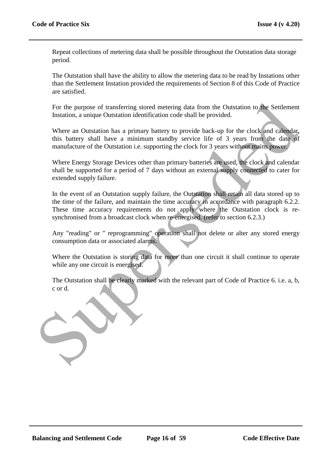Repeat collections of metering data shall be possible throughout the Outstation data storage period.

The Outstation shall have the ability to allow the metering data to be read by Instations other than the Settlement Instation provided the requirements of Section 8 of this Code of Practice are satisfied.

For the purpose of transferring stored metering data from the Outstation to the Settlement Instation, a unique Outstation identification code shall be provided.

Where an Outstation has a primary battery to provide back-up for the clock and calendar, this battery shall have a minimum standby service life of 3 years from the date of manufacture of the Outstation i.e. supporting the clock for 3 years without mains power.

Where Energy Storage Devices other than primary batteries are used, the clock and calendar shall be supported for a period of 7 days without an external supply connected to cater for extended supply failure.

In the event of an Outstation supply failure, the Outstation shall retain all data stored up to the time of the failure, and maintain the time accuracy in accordance with paragraph 6.2.2. These time accuracy requirements do not apply where the Outstation clock is resynchronised from a broadcast clock when re-energised. (refer to section 6.2.3.)

Any "reading" or " reprogramming" operation shall not delete or alter any stored energy consumption data or associated alarms.

Where the Outstation is storing data for more than one circuit it shall continue to operate while any one circuit is energised.

The Outstation shall be clearly marked with the relevant part of Code of Practice 6. i.e. a, b, c or d.

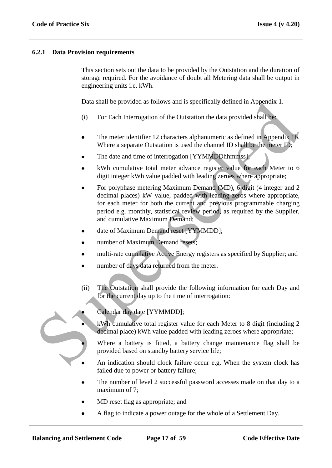#### **6.2.1 Data Provision requirements**

This section sets out the data to be provided by the Outstation and the duration of storage required. For the avoidance of doubt all Metering data shall be output in engineering units i.e. kWh.

Data shall be provided as follows and is specifically defined in Appendix 1.

- (i) For Each Interrogation of the Outstation the data provided shall be:
- The meter identifier 12 characters alphanumeric as defined in Appendix 1b. Where a separate Outstation is used the channel ID shall be the meter ID;
- The date and time of interrogation [YYMMDDhhmmss];
- kWh cumulative total meter advance register value for each Meter to 6 digit integer kWh value padded with leading zeroes where appropriate;
- For polyphase metering Maximum Demand (MD), 6 digit (4 integer and 2 decimal places) kW value, padded with leading zeros where appropriate, for each meter for both the current and previous programmable charging period e.g. monthly, statistical review period, as required by the Supplier, and cumulative Maximum Demand; Data shall be provided as follows and is specifically defined in Appendix 1.<br>
(i) For Each Interrogation of the Outstation the data provided shall be<br>
• The meter identifier 12 characters alphanumeric as defined in Append
	- date of Maximum Demand reset [YYMMDD];
	- number of Maximum Demand resets;
	- multi-rate cumulative Active Energy registers as specified by Supplier; and
	- number of days data returned from the meter.
	- (ii) The Outstation shall provide the following information for each Day and for the current day up to the time of interrogation:



- Calendar day date [YYMMDD];
- kWh cumulative total register value for each Meter to 8 digit (including 2 decimal place) kWh value padded with leading zeroes where appropriate;
- Where a battery is fitted, a battery change maintenance flag shall be provided based on standby battery service life;
- An indication should clock failure occur e.g. When the system clock has failed due to power or battery failure;
- The number of level 2 successful password accesses made on that day to a maximum of 7:
- MD reset flag as appropriate; and
- A flag to indicate a power outage for the whole of a Settlement Day.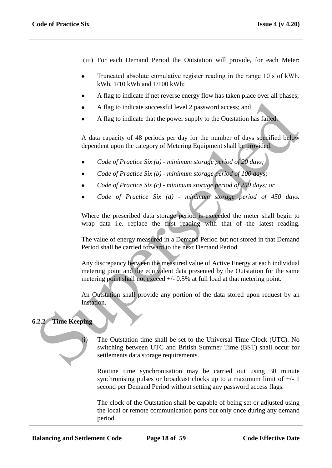- (iii) For each Demand Period the Outstation will provide, for each Meter:
- Truncated absolute cumulative register reading in the range 10"s of kWh, kWh, 1/10 kWh and 1/100 kWh;
- A flag to indicate if net reverse energy flow has taken place over all phases;
- A flag to indicate successful level 2 password access; and
- A flag to indicate that the power supply to the Outstation has failed.

A data capacity of 48 periods per day for the number of days specified below dependent upon the category of Metering Equipment shall be provided:

- *Code of Practice Six (a) - minimum storage period of 20 days;*
- *Code of Practice Six (b) - minimum storage period of 100 days;*
- *Code of Practice Six (c) - minimum storage period of 250 days; or*
- *Code of Practice Six (d) - minimum storage period of 450 days.*

Where the prescribed data storage period is exceeded the meter shall begin to wrap data i.e. replace the first reading with that of the latest reading.

The value of energy measured in a Demand Period but not stored in that Demand Period shall be carried forward to the next Demand Period.

Any discrepancy between the measured value of Active Energy at each individual metering point and the equivalent data presented by the Outstation for the same metering point shall not exceed  $+/- 0.5\%$  at full load at that metering point. A flag to indicate successful level 2 password access; and<br>
A flag to indicate that the power supply to the Outstation has failed<br>
A data capacity of 48 periods per day for the number of days specified below<br>
dependent up

An Outstation shall provide any portion of the data stored upon request by an Instation.

# **6.2.2 Time Keeping**

The Outstation time shall be set to the Universal Time Clock (UTC). No switching between UTC and British Summer Time (BST) shall occur for settlements data storage requirements.

Routine time synchronisation may be carried out using 30 minute synchronising pulses or broadcast clocks up to a maximum limit of  $+/-1$ second per Demand Period without setting any password access flags.

The clock of the Outstation shall be capable of being set or adjusted using the local or remote communication ports but only once during any demand period.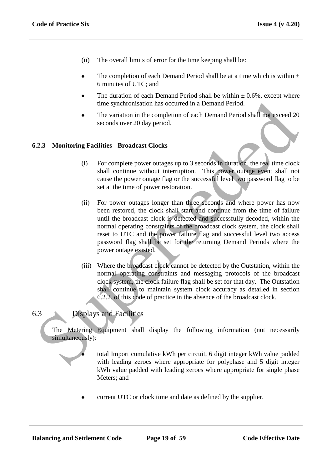- (ii) The overall limits of error for the time keeping shall be:
- The completion of each Demand Period shall be at a time which is within  $\pm$ 6 minutes of UTC; and
- The duration of each Demand Period shall be within  $\pm 0.6$ %, except where time synchronisation has occurred in a Demand Period.
- The variation in the completion of each Demand Period shall not exceed 20 seconds over 20 day period.

## **6.2.3 Monitoring Facilities - Broadcast Clocks**

- (i) For complete power outages up to 3 seconds in duration, the real time clock shall continue without interruption. This power outage event shall not cause the power outage flag or the successful level two password flag to be set at the time of power restoration.
- (ii) For power outages longer than three seconds and where power has now been restored, the clock shall start and continue from the time of failure until the broadcast clock is detected and successfully decoded, within the normal operating constraints of the broadcast clock system, the clock shall reset to UTC and the power failure flag and successful level two access password flag shall be set for the returning Demand Periods where the power outage existed. time synchronisation has occurred in a Demand Period.<br>
The variation in the completion of each Demand Period shall not exceed 20<br>
Seconds over 20 day period.<br>
2.3 Monitoring Facilities - Broadcast Clocks<br>
(i) For complete
	- (iii) Where the broadcast clock cannot be detected by the Outstation, within the normal operating constraints and messaging protocols of the broadcast clock system, the clock failure flag shall be set for that day. The Outstation shall continue to maintain system clock accuracy as detailed in section 6.2.2. of this code of practice in the absence of the broadcast clock.

# 6.3 Displays and Facilities

The Metering Equipment shall display the following information (not necessarily simultaneously):

> total Import cumulative kWh per circuit, 6 digit integer kWh value padded with leading zeroes where appropriate for polyphase and 5 digit integer kWh value padded with leading zeroes where appropriate for single phase Meters; and

current UTC or clock time and date as defined by the supplier.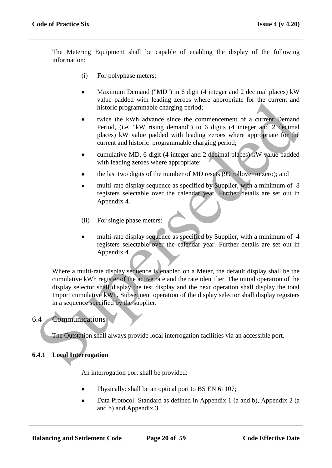The Metering Equipment shall be capable of enabling the display of the following information:

- (i) For polyphase meters:
- Maximum Demand ("MD") in 6 digit (4 integer and 2 decimal places) kW  $\bullet$ value padded with leading zeroes where appropriate for the current and historic programmable charging period;
- twice the kWh advance since the commencement of a current Demand Period, (i.e. "kW rising demand") to 6 digits (4 integer and 2 decimal places) kW value padded with leading zeroes where appropriate for the current and historic programmable charging period;
- cumulative MD, 6 digit (4 integer and 2 decimal places) kW value padded with leading zeroes where appropriate;
- the last two digits of the number of MD resets (99 rollover to zero); and
- multi-rate display sequence as specified by Supplier, with a minimum of 8 registers selectable over the calendar year. Further details are set out in Appendix 4.
- (ii) For single phase meters:
- multi-rate display sequence as specified by Supplier, with a minimum of 4 registers selectable over the calendar year. Further details are set out in Appendix 4.

Where a multi-rate display sequence is enabled on a Meter, the default display shall be the cumulative kWh register of the active rate and the rate identifier. The initial operation of the display selector shall display the test display and the next operation shall display the total Import cumulative kWh. Subsequent operation of the display selector shall display registers in a sequence specified by the supplier. Value place to the content incomparation of the display selection and the content into the content of a current behavior programmable charge area the commencement of a current Demand Place's (i.e. "kW rising denotical 2 de

# 6.4 Communications

The Outstation shall always provide local interrogation facilities via an accessible port.

# **6.4.1 Local Interrogation**

An interrogation port shall be provided:

- Physically: shall be an optical port to BS EN 61107;
- Data Protocol: Standard as defined in Appendix 1 (a and b), Appendix 2 (a and b) and Appendix 3.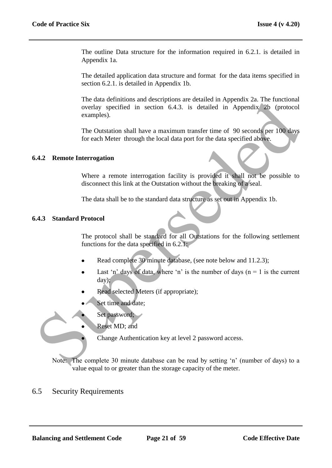The outline Data structure for the information required in 6.2.1. is detailed in Appendix 1a.

The detailed application data structure and format for the data items specified in section 6.2.1. is detailed in Appendix 1b.

The data definitions and descriptions are detailed in Appendix 2a. The functional overlay specified in section 6.4.3. is detailed in Appendix 2b (protocol examples). The tax definitions and uses ripinous are detailed in Appendix 2n the functional condition shall have a maximum transfer time of 90 seconds per 100 days for each Meter through the local data port for the data specified ab

The Outstation shall have a maximum transfer time of 90 seconds per 100 days for each Meter through the local data port for the data specified above.

#### **6.4.2 Remote Interrogation**

Where a remote interrogation facility is provided it shall not be possible to disconnect this link at the Outstation without the breaking of a seal.

The data shall be to the standard data structure as set out in Appendix 1b.

#### **6.4.3 Standard Protocol**

The protocol shall be standard for all Outstations for the following settlement functions for the data specified in 6.2.1:

- Read complete 30 minute database, (see note below and 11.2.3);
- Last 'n' days of data, where 'n' is the number of days ( $n = 1$  is the current day);
- Read selected Meters (if appropriate);
- Set time and date;
- Set password;
- Reset MD; and

Change Authentication key at level 2 password access.

Note: The complete 30 minute database can be read by setting "n" (number of days) to a value equal to or greater than the storage capacity of the meter.

# 6.5 Security Requirements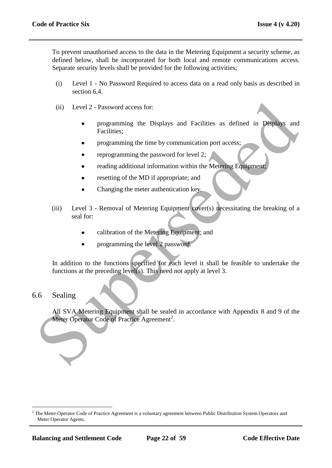To prevent unauthorised access to the data in the Metering Equipment a security scheme, as defined below, shall be incorporated for both local and remote communications access. Separate security levels shall be provided for the following activities;

- (i) Level 1 No Password Required to access data on a read only basis as described in section 6.4.
- (ii) Level 2 Password access for:
	- programming the Displays and Facilities as defined in Displays and Facilities;
	- programming the time by communication port access;
	- reprogramming the password for level 2;
	- reading additional information within the Metering Equipment;
	- resetting of the MD if appropriate; and
	- Changing the meter authentication key.
- (iii) Level 3 Removal of Metering Equipment cover(s) necessitating the breaking of a seal for: (ii) Level 2 - Password access for:<br>
• programming the Displays and Facilities as defined in Displays and<br>
Facilities;<br>
• programming the time by communication port access:<br>
• reprogramming the password for level 2:<br>
• rea
	- calibration of the Metering Equipment; and
	- programming the level 2 password.

In addition to the functions specified for each level it shall be feasible to undertake the functions at the preceding level(s). This need not apply at level 3.

# 6.6 Sealing

 $\overline{a}$ 

All SVA Metering Equipment shall be sealed in accordance with Appendix 8 and 9 of the Meter Operator Code of Practice Agreement<sup>2</sup>.

 $<sup>2</sup>$  The Meter Operator Code of Practice Agreement is a voluntary agreement between Public Distribution System Operators and</sup> Meter Operator Agents.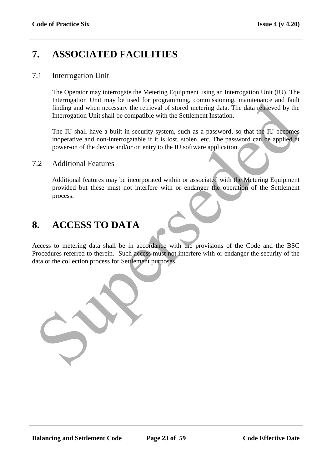# **7. ASSOCIATED FACILITIES**

## 7.1 Interrogation Unit

The Operator may interrogate the Metering Equipment using an Interrogation Unit (IU). The Interrogation Unit may be used for programming*,* commissioning, maintenance and fault finding and when necessary the retrieval of stored metering data. The data retrieved by the Interrogation Unit shall be compatible with the Settlement Instation.

The IU shall have a built-in security system, such as a password, so that the IU becomes inoperative and non-interrogatable if it is lost, stolen, etc. The password can be applied at power-on of the device and/or on entry to the IU software application.

## 7.2 Additional Features

Additional features may be incorporated within or associated with the Metering Equipment provided but these must not interfere with or endanger the operation of the Settlement process.

# **8. ACCESS TO DATA**

Access to metering data shall be in accordance with the provisions of the Code and the BSC Procedures referred to therein. Such access must not interfere with or endanger the security of the data or the collection process for Settlement purposes. meroganon om may el astead of stored methods. The data of the strength inding and when necessary the retrieval of stored metering data. The data of the velocity the interrogation Unit shall he compatible with the Settlemen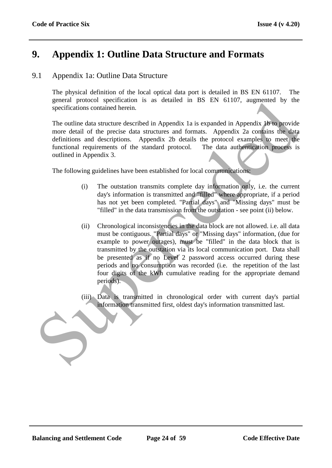# **9. Appendix 1: Outline Data Structure and Formats**

# 9.1 Appendix 1a: Outline Data Structure

The physical definition of the local optical data port is detailed in BS EN 61107. The general protocol specification is as detailed in BS EN 61107, augmented by the specifications contained herein.

The outline data structure described in Appendix 1a is expanded in Appendix 1b to provide more detail of the precise data structures and formats. Appendix 2a contains the data definitions and descriptions. Appendix 2b details the protocol examples to meet the functional requirements of the standard protocol. The data authentication process is outlined in Appendix 3.

The following guidelines have been established for local communications:

- (i) The outstation transmits complete day information only, i.e. the current day's information is transmitted and "filled" where appropriate, if a period has not yet been completed. "Partial days" and "Missing days" must be "filled" in the data transmission from the outstation - see point (ii) below.
- (ii) Chronological inconsistencies in the data block are not allowed. i.e. all data must be contiguous. "Partial days" or "Missing days" information, (due for example to power outages), must be "filled" in the data block that is transmitted by the outstation via its local communication port. Data shall be presented as if no Level 2 password access occurred during these periods and no consumption was recorded (i.e. the repetition of the last four digits of the kWh cumulative reading for the appropriate demand periods). general processor specifications contained herein.<br>
Specifications contained herein.<br>
The outline data structure described in Appendix la is expanded in Appendix. Uro provide<br>
more detail of the precise dust structures and
	- (iii) Data is transmitted in chronological order with current day's partial information transmitted first, oldest day's information transmitted last.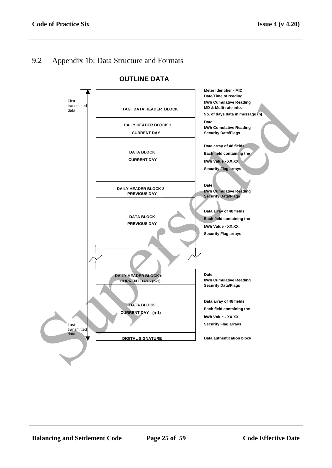# 9.2 Appendix 1b: Data Structure and Formats



#### **OUTLINE DATA**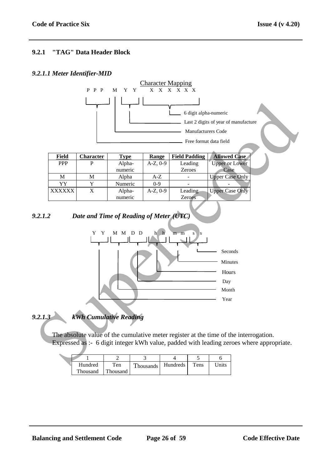## **9.2.1 "TAG" Data Header Block**

#### *9.2.1.1 Meter Identifier-MID*



| Field         | <b>Character</b> | Type    | Range         | <b>Field Padding</b> | <b>Allowed Case</b>    |
|---------------|------------------|---------|---------------|----------------------|------------------------|
| <b>PPP</b>    |                  | Alpha-  | $A-Z, 0-9$    | Leading              | <b>Upper or Lower</b>  |
|               |                  | numeric |               | <b>Zeroes</b>        | Case                   |
| M             | М                | Alpha   | A-Z           |                      | <b>Upper Case Only</b> |
| YY            |                  | Numeric | $0-9$         |                      |                        |
| <b>XXXXXX</b> | X                | Alpha-  | $A-Z$ , $0-9$ | Leading              | <b>Upper Case Only</b> |
|               |                  | numeric |               | Zeroes               |                        |

## *9.2.1.2 Date and Time of Reading of Meter (UTC)*



*9.2.1.3 kWh Cumulative Reading*

The absolute value of the cumulative meter register at the time of the interrogation. Expressed as :- 6 digit integer kWh value, padded with leading zeroes where appropriate.

| Hundred  | Ten      | <b>Thousands</b> | Hundreds | Tens | Jnits |
|----------|----------|------------------|----------|------|-------|
| Thousand | Thousand |                  |          |      |       |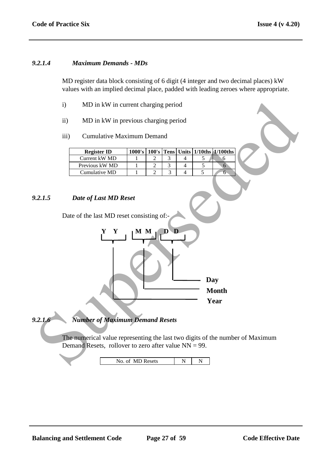#### *9.2.1.4 Maximum Demands - MDs*

MD register data block consisting of 6 digit (4 integer and two decimal places) kW values with an implied decimal place, padded with leading zeroes where appropriate.

- i) MD in kW in current charging period
- ii) MD in kW in previous charging period
- iii) Cumulative Maximum Demand

| <b>Register ID</b> | 1000's |  |  | $100$ 's Tens Units $1/10$ ths $1/100$ ths |
|--------------------|--------|--|--|--------------------------------------------|
| Current kW MD      |        |  |  |                                            |
| Previous kW MD     |        |  |  |                                            |
| Cumulative MD      |        |  |  |                                            |

#### *9.2.1.5 Date of Last MD Reset*

Date of the last MD reset consisting of:-



*9.2.1.6 Number of Maximum Demand Resets*

The numerical value representing the last two digits of the number of Maximum Demand Resets, rollover to zero after value  $NN = 99$ .

| $\mathsf{def}\mathfrak{c}$<br>A<br>า1<br>$\sim$<br>$\sim$ | г. |  |
|-----------------------------------------------------------|----|--|
|-----------------------------------------------------------|----|--|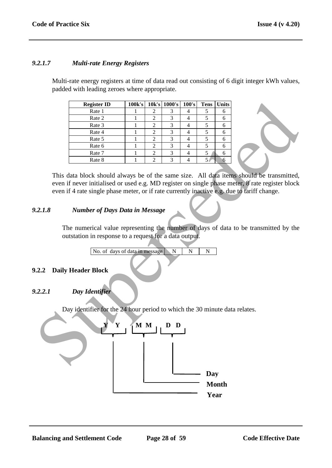#### *9.2.1.7 Multi-rate Energy Registers*

Multi-rate energy registers at time of data read out consisting of 6 digit integer kWh values, padded with leading zeroes where appropriate.

| <b>Register ID</b> | 100k's |                             | 10k's 1000's | 100's | <b>Tens</b> | Units |
|--------------------|--------|-----------------------------|--------------|-------|-------------|-------|
| Rate 1             |        |                             |              |       |             |       |
| Rate 2             |        |                             |              |       |             |       |
| Rate 3             |        |                             |              |       |             |       |
| Rate 4             |        |                             | 3            |       |             |       |
| Rate 5             |        | 2                           | 3            |       |             |       |
| Rate 6             |        | $\mathcal{D}_{\mathcal{L}}$ | 3            |       |             |       |
| Rate 7             |        |                             | 3            |       |             |       |
| Rate 8             |        | ◠                           | 3            |       |             |       |

This data block should always be of the same size. All data items should be transmitted, even if never initialised or used e.g. MD register on single phase meter, 8 rate register block even if 4 rate single phase meter, or if rate currently inactive e.g. due to tariff change.

## *9.2.1.8 Number of Days Data in Message*

The numerical value representing the number of days of data to be transmitted by the outstation in response to a request for a data output.

No. of days of data in message N N N

#### **9.2.2 Daily Header Block**

## *9.2.2.1 Day Identifier*

Day identifier for the 24 hour period to which the 30 minute data relates.

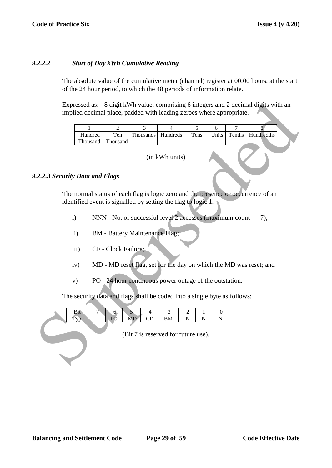#### *9.2.2.2 Start of Day kWh Cumulative Reading*

The absolute value of the cumulative meter (channel) register at 00:00 hours, at the start of the 24 hour period, to which the 48 periods of information relate.

|                                | implied decimal place, padded with leading zeroes where appropriate.      |                      |                                       |                                                                     |                                         |                |        | Expressed as:- 8 digit kWh value, comprising 6 integers and 2 decimal digits with an |  |
|--------------------------------|---------------------------------------------------------------------------|----------------------|---------------------------------------|---------------------------------------------------------------------|-----------------------------------------|----------------|--------|--------------------------------------------------------------------------------------|--|
|                                | 1                                                                         | $\overline{2}$       | $\overline{3}$                        | $\overline{4}$                                                      | $\overline{5}$                          | 6              | 7      | 8                                                                                    |  |
|                                | Hundred<br>Thousand                                                       | Ten<br>Thousand      | Thousands                             | Hundreds                                                            | Tens                                    | Units          | Tenths | Hundredths                                                                           |  |
|                                | (in kWh units)                                                            |                      |                                       |                                                                     |                                         |                |        |                                                                                      |  |
| .2.2.3 Security Data and Flags |                                                                           |                      |                                       |                                                                     |                                         |                |        |                                                                                      |  |
|                                | identified event is signalled by setting the flag to logic 1.             |                      |                                       |                                                                     |                                         |                |        | The normal status of each flag is logic zero and the presence or occurrence of an    |  |
|                                | $\mathbf{i}$                                                              |                      |                                       | NNN - No. of successful level 2 accesses (maximum count $= 7$ );    |                                         |                |        |                                                                                      |  |
|                                | $\ddot{i}$                                                                |                      | <b>BM</b> - Battery Maintenance Flag; |                                                                     |                                         |                |        |                                                                                      |  |
|                                | iii)                                                                      | CF - Clock Failure;  |                                       |                                                                     |                                         |                |        |                                                                                      |  |
|                                | iv)                                                                       |                      |                                       |                                                                     |                                         |                |        | MD - MD reset flag, set for the day on which the MD was reset; and                   |  |
|                                | V)                                                                        |                      |                                       | PO - 24 hour continuous power outage of the outstation.             |                                         |                |        |                                                                                      |  |
|                                | The security data and flags shall be coded into a single byte as follows: |                      |                                       |                                                                     |                                         |                |        |                                                                                      |  |
|                                | Bit<br>7<br>Type<br>$\overline{\phantom{a}}$                              | 6 <sub>o</sub><br>PO | 5<br>4<br><b>MD</b><br>CF             | $\mathfrak{Z}$<br>${\bf BM}$<br>(Bit 7 is reserved for future use). | 2<br>1<br>$\overline{N}$<br>$\mathbf N$ | 0<br>${\bf N}$ |        |                                                                                      |  |
|                                |                                                                           |                      |                                       |                                                                     |                                         |                |        |                                                                                      |  |

#### *9.2.2.3 Security Data and Flags*

- i) NNN No. of successful level 2 accesses (maximum count  $= 7$ );
- ii) BM Battery Maintenance Flag;
- iii) CF Clock Failure;
- iv) MD MD reset flag, set for the day on which the MD was reset; and
- v) PO 24 hour continuous power outage of the outstation.

|  |   | ິ |      |        |            |  |  |
|--|---|---|------|--------|------------|--|--|
|  | - |   | **** | -<br>ິ | <b>TAT</b> |  |  |
|  |   |   |      |        |            |  |  |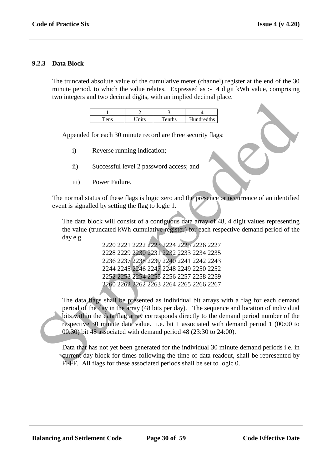#### **9.2.3 Data Block**

The truncated absolute value of the cumulative meter (channel) register at the end of the 30 minute period, to which the value relates. Expressed as :- 4 digit kWh value, comprising two integers and two decimal digits, with an implied decimal place.

|   | . . |            |
|---|-----|------------|
| ≏ |     | Hundredths |

Appended for each 30 minute record are three security flags:

- i) Reverse running indication;
- ii) Successful level 2 password access; and
- iii) Power Failure.

The normal status of these flags is logic zero and the presence or occurrence of an identified event is signalled by setting the flag to logic 1.

The data block will consist of a contiguous data array of 48, 4 digit values representing the value (truncated kWh cumulative register) for each respective demand period of the day e.g.

> 2220 2221 2222 2223 2224 2225 2226 2227 2228 2229 2230 2231 2232 2233 2234 2235 2236 2237 2238 2239 2240 2241 2242 2243 2244 2245 2246 2247 2248 2249 2250 2252 2252 2253 2254 2255 2256 2257 2258 2259 2260 2262 2262 2263 2264 2265 2266 2267

The data flags shall be presented as individual bit arrays with a flag for each demand period of the day in the array (48 bits per day). The sequence and location of individual bits within the data flag array corresponds directly to the demand period number of the respective 30 minute data value. i.e. bit 1 associated with demand period 1 (00:00 to 00:30) bit 48 associated with demand period 48 (23:30 to 24:00). Superseded

Data that has not yet been generated for the individual 30 minute demand periods i.e. in current day block for times following the time of data readout, shall be represented by FFFF. All flags for these associated periods shall be set to logic 0.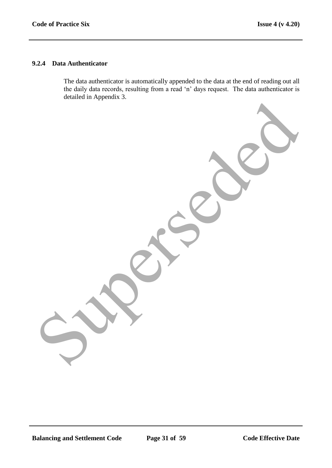#### **9.2.4 Data Authenticator**

The data authenticator is automatically appended to the data at the end of reading out all the daily data records, resulting from a read "n" days request. The data authenticator is detailed in Appendix 3. Superseded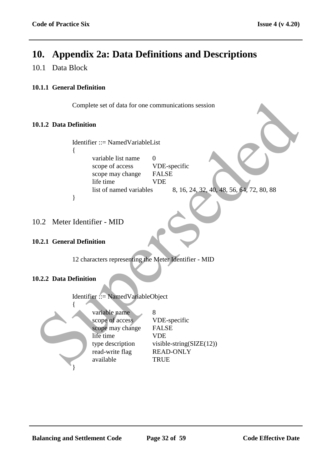# **10. Appendix 2a: Data Definitions and Descriptions**

# 10.1 Data Block

## **10.1.1 General Definition**

Complete set of data for one communications session

#### **10.1.2 Data Definition**

Identifier ::= NamedVariableList

{

variable list name 0 scope of access VDE-specific scope may change FALSE life time VDE list of named variables 8, 16, 24, 32, 40, 48, 56, 64, 72, 80, 88

# 10.2 Meter Identifier - MID

}

#### **10.2.1 General Definition**

12 characters representing the Meter Identifier - MID

#### **10.2.2 Data Definition**

Identifier ::= NamedVariableObject



variable name 8 scope of access VDE-specific scope may change FALSE life time VDE type description visible-string( $SLE(12)$ ) read-write flag READ-ONLY available TRUE Complete set of data for one communications session<br>
1.1.2 Data Definition<br>
Identifier ::= Named VariableList<br>
(some of access<br>
scope of access<br>
scope of access<br>
inte time<br>
list of named variables<br>
list of named variables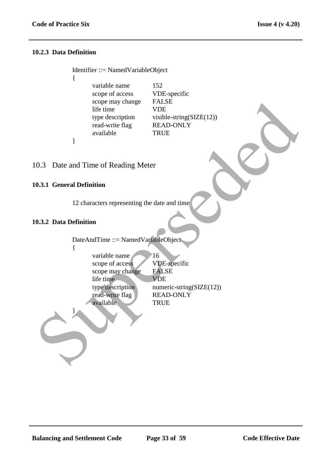#### **10.2.3 Data Definition**

{

}

Identifier ::= NamedVariableObject

- variable name 152 scope of access VDE-specific scope may change FALSE life time VDE type description visible-string(SIZE(12)) read-write flag READ-ONLY available TRUE
- 10.3 Date and Time of Reading Meter

#### **10.3.1 General Definition**

12 characters representing the date and time

#### **10.3.2 Data Definition**

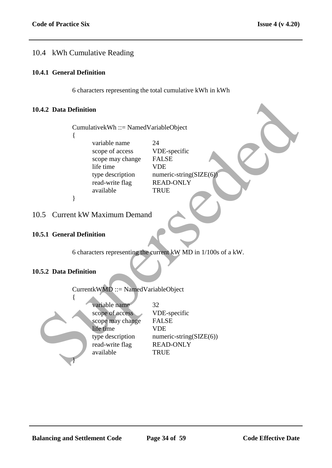# 10.4 kWh Cumulative Reading

## **10.4.1 General Definition**

6 characters representing the total cumulative kWh in kWh

#### **10.4.2 Data Definition**

CumulativekWh ::= NamedVariableObject

{

variable name 24 scope of access VDE-specific scope may change FALSE life time VDE type description numeric-string(SIZE(6) read-write flag READ-ONLY available TRUE

}

# 10.5 Current kW Maximum Demand

## **10.5.1 General Definition**

6 characters representing the current kW MD in 1/100s of a kW.

# **10.5.2 Data Definition**

CurrentkWMD ::= NamedVariableObject { variable name 32 scope of access VDE-specific scope may change FALSE life time VDE type description numeric-string(SIZE(6)) read-write flag READ-ONLY available TRUE 0.4.2 Data Definition<br>
Cumulative kWh ::= Named VariableObject<br>
(contrast)<br>
scope of access<br>
scope of access<br>
strep charges are very charge FIASE<br>
life time<br>
the time<br>
the discussion and available<br>
available<br>
1.8.1 Genera }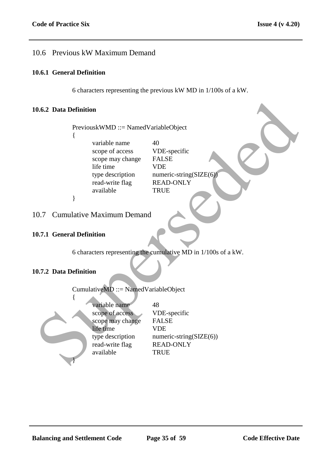# 10.6 Previous kW Maximum Demand

#### **10.6.1 General Definition**

6 characters representing the previous kW MD in 1/100s of a kW.

#### **10.6.2 Data Definition**

PreviouskWMD ::= NamedVariableObject {

> variable name  $40$ scope of access VDE-specific scope may change FALSE life time VDE read-write flag READ-ONLY available TRUE

type description numeric-string(SIZE(6)

}

# 10.7 Cumulative Maximum Demand

## **10.7.1 General Definition**

6 characters representing the cumulative MD in 1/100s of a kW.

# **10.7.2 Data Definition**

{ variable name 48 scope of access VDE-specific scope may change FALSE life time VDE type description numeric-string(SIZE(6)) read-write flag READ-ONLY available TRUE 0.6.2 Data Definition<br>
Previous KWMD ::= Named VariableObject<br>
(some of access VDB-specific<br>
scope of access VDB-specific<br>
ifte time<br>
the time<br>
the description<br>
available<br>
2 available<br>
(available READ-ONLY<br>
2 available<br>
1 }

CumulativeMD ::= NamedVariableObject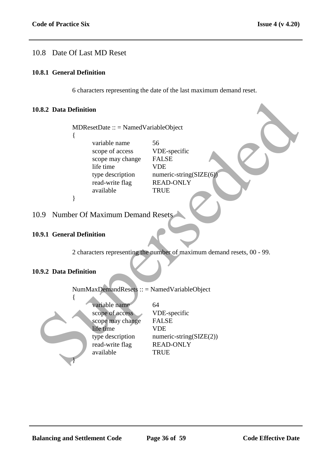# 10.8 Date Of Last MD Reset

#### **10.8.1 General Definition**

6 characters representing the date of the last maximum demand reset.

#### **10.8.2 Data Definition**

#### 10.9 Number Of Maximum Demand Resets

#### **10.9.1 General Definition**

#### **10.9.2 Data Definition**

|     | 0.8.2 Data Definition                                                                                                 |                                                                                                                    |
|-----|-----------------------------------------------------------------------------------------------------------------------|--------------------------------------------------------------------------------------------------------------------|
|     | $MDResetDate :: = NamedVariableObject$<br>ł                                                                           |                                                                                                                    |
|     | variable name<br>scope of access<br>scope may change<br>life time<br>type description<br>read-write flag<br>available | 56<br>VDE-specific<br><b>FALSE</b><br><b>VDE</b><br>numeric-string( $SIZE(6)$ )<br><b>READ-ONLY</b><br><b>TRUE</b> |
|     | }                                                                                                                     |                                                                                                                    |
| 0.9 | <b>Number Of Maximum Demand Resets</b>                                                                                |                                                                                                                    |
|     | 0.9.1 General Definition                                                                                              |                                                                                                                    |
|     |                                                                                                                       | 2 characters representing the number of maximum demand resets, 00 - 99.                                            |
|     | 0.9.2 Data Definition                                                                                                 |                                                                                                                    |
|     | NumMaxDemandResets :: = NamedVariableObject                                                                           |                                                                                                                    |
|     | variable name<br>scope of access<br>scope may change<br>life time<br>type description<br>read-write flag<br>available | 64<br>VDE-specific<br><b>FALSE</b><br><b>VDE</b><br>numeric-string( $SLE(2)$ )<br><b>READ-ONLY</b><br><b>TRUE</b>  |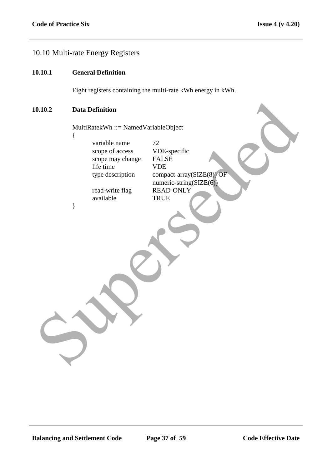# 10.10 Multi-rate Energy Registers

#### **10.10.1 General Definition**

Eight registers containing the multi-rate kWh energy in kWh.

## **10.10.2 Data Definition**

}

MultiRatekWh ::= NamedVariableObject {

| variable name    | 72           |
|------------------|--------------|
| scope of access  | VI           |
| scope may change | $_{\rm F}$   |
| life time        | VI           |
| type description | $c_{\Omega}$ |
|                  | nu           |
|                  |              |

read-write flag available TRUE

/DE-specific ALSE<sup></sup> /DE type ompact-array(SIZE(8)) OF numeric-string(SIZE(6))<br>READ-ONLY **Data Definition**<br>
MultiRatekWh ::= NamedVariableObject<br>
( $\frac{1}{\text{variable name}}$  and  $\frac{1}{\text{2}}$ <br>
scope of access<br>
ifte time<br>
the time<br>
type description<br>  $\frac{1}{\text{varivative flag}}$  and  $\frac{1}{\text{varivative f}}$ <br>  $\frac{1}{\text{varivative f}}$ <br>  $\frac{1}{\text{varivative f}}$ <br>  $\frac{1}{\$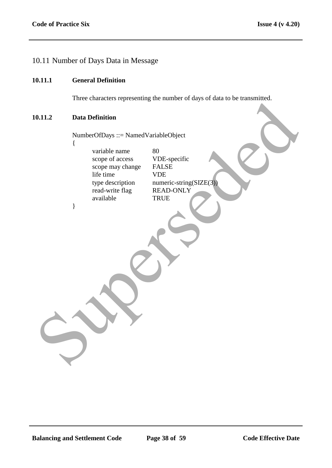# 10.11 Number of Days Data in Message

#### **10.11.1 General Definition**

Three characters representing the number of days of data to be transmitted.

#### **10.11.2 Data Definition**

{

}

NumberOfDays ::= NamedVariableObject

variable name 80<br>scope of access VDE-specific scope of access scope may change FALSE life time VDE<br>type description nume read-write flag READ-ONLY available TRUE 0.11.2 Data Definition<br>
NumberOfDays ::= NamedVariableObject<br>
variable name<br>
scope may change<br>
scope may change<br>
scope may change<br>
ELSE<br>
life time<br>
read write than<br>
the NAD-ONLY<br>
available<br>
TRUE<br>
(TRUE

numeric-string( $SLZE(3)$ )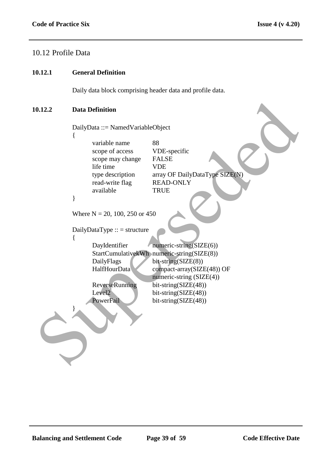# 10.12 Profile Data

#### **10.12.1 General Definition**

Daily data block comprising header data and profile data.

#### **10.12.2 Data Definition**

```
DailyData ::= NamedVariableObject
             {
                    variable name 88
                    scope of access VDE-specific
                    scope may change FALSE
                    life time VDE
                    type description array OF DailyDataType SIZE(N)
                    read-write flag READ-ONLY
                    available TRUE
             }
             Where N = 20, 100, 250 or 450
             DailyDataType :: = structure
             \left\{ \right.DayIdentifier numeric-string(SIZE(6))
                    StartCumulativekWh numeric-string(SIZE(8))
                    DailyFlags bit-string(SIZE(8))
                    HalfHourData compact-array(SIZE(48)) OF
                                           numeric-string (SIZE(4))
                    ReverseRunning bit-string(SIZE(48))
                    Level2 bit-string(SIZE(48))
                    PowerFail bit-string(SIZE(48))
             }
Data Definition<br>
Data Definition<br>
Cariy and Mariable Object<br>
(Cariy and Supersede and Supersede and Supersede and Supersede and Supersede and Supersede and Supersede and Supersede and Supersede and Supersede and Superse
```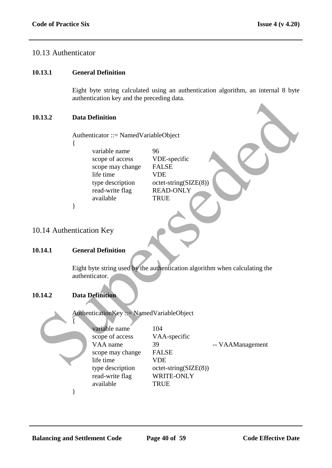# 10.13 Authenticator

#### **10.13.1 General Definition**

Eight byte string calculated using an authentication algorithm, an internal 8 byte authentication key and the preceding data.

## **10.13.2 Data Definition**

- {
- variable name 96 scope of access VDE-specific scope may change FALSE life time VDE type description octet-string(SIZE(8)) read-write flag READ-ONLY available TRUE

# 10.14 Authentication Key

#### **10.14.1 General Definition**

# **10.14.2 Data Definition**

|        | $\frac{1}{2}$ and $\frac{1}{2}$ and the preceding data.                                                                           |                                                                                                                                            |
|--------|-----------------------------------------------------------------------------------------------------------------------------------|--------------------------------------------------------------------------------------------------------------------------------------------|
| 0.13.2 | <b>Data Definition</b>                                                                                                            |                                                                                                                                            |
|        | Authenticator ::= NamedVariableObject                                                                                             |                                                                                                                                            |
|        | variable name<br>scope of access<br>scope may change<br>life time<br>type description<br>read-write flag<br>available             | 96<br>VDE-specific<br><b>FALSE</b><br><b>VDE</b><br>$octet\text{-string}(SIZE(8))$<br><b>READ-ONLY</b><br><b>TRUE</b>                      |
|        | }                                                                                                                                 |                                                                                                                                            |
|        | 0.14 Authentication Key                                                                                                           |                                                                                                                                            |
| 0.14.1 | <b>General Definition</b>                                                                                                         |                                                                                                                                            |
| 0.14.2 | authenticator.<br><b>Data Definition</b>                                                                                          | Eight byte string used by the authentication algorithm when calculating the                                                                |
|        | AuthenticationKey ::= NamedVariableObject                                                                                         |                                                                                                                                            |
|        | variable name<br>scope of access<br>VAA name<br>scope may change<br>life time<br>type description<br>read-write flag<br>available | 104<br>VAA-specific<br>39<br>-- VAAManagement<br><b>FALSE</b><br><b>VDE</b><br>$octet\text{-string}(SIZE(8))$<br>WRITE-ONLY<br><b>TRUE</b> |
|        |                                                                                                                                   |                                                                                                                                            |

}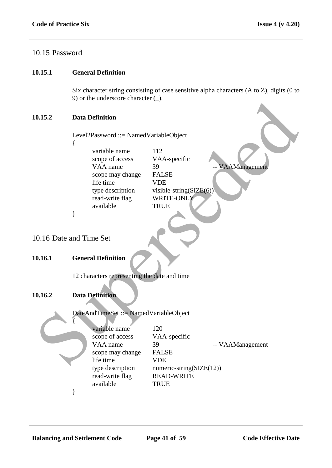# 10.15 Password

#### **10.15.1 General Definition**

Six character string consisting of case sensitive alpha characters (A to Z), digits (0 to 9) or the underscore character (\_).

#### **10.15.2 Data Definition**

|                        |   | $\sim$ ) of the underscore enargement ( $\sim$ ). |                             |                  |
|------------------------|---|---------------------------------------------------|-----------------------------|------------------|
| 0.15.2                 |   | <b>Data Definition</b>                            |                             |                  |
|                        |   | Level2Password ::= NamedVariableObject            |                             |                  |
|                        | ₹ |                                                   |                             |                  |
|                        |   | variable name                                     | 112                         |                  |
|                        |   | scope of access                                   | VAA-specific                |                  |
|                        |   | VAA name                                          | 39                          | -- VAAManagement |
|                        |   | scope may change<br>life time                     | <b>FALSE</b><br><b>VDE</b>  |                  |
|                        |   | type description                                  | visible-string( $SIZE(6)$ ) |                  |
|                        |   | read-write flag                                   | WRITE-ONLY                  |                  |
|                        |   | available                                         | <b>TRUE</b>                 |                  |
|                        | ∤ |                                                   |                             |                  |
|                        |   |                                                   |                             |                  |
|                        |   |                                                   |                             |                  |
| 0.16 Date and Time Set |   |                                                   |                             |                  |
|                        |   |                                                   |                             |                  |
| 0.16.1                 |   | <b>General Definition</b>                         |                             |                  |
|                        |   |                                                   |                             |                  |
|                        |   | 12 characters representing the date and time      |                             |                  |
|                        |   |                                                   |                             |                  |
|                        |   |                                                   |                             |                  |
| 0.16.2                 |   | <b>Data Definition</b>                            |                             |                  |
|                        |   |                                                   |                             |                  |
|                        |   | DateAndTimeSet ::= NamedVariableObject            |                             |                  |
|                        |   | variable name                                     | 120                         |                  |
|                        |   | scope of access                                   | VAA-specific                |                  |
|                        |   | VAA name                                          | 39                          | -- VAAManagement |
|                        |   | scope may change                                  | <b>FALSE</b>                |                  |
|                        |   | life time                                         | <b>VDE</b>                  |                  |
|                        |   |                                                   |                             |                  |

#### **10.16.1 General Definition**

## **10.16.2 Data Definition**



| variable name    | 120                          |                  |
|------------------|------------------------------|------------------|
| scope of access  | VAA-specific                 |                  |
| VAA name         | 39                           | -- VAAManagement |
| scope may change | <b>FALSE</b>                 |                  |
| life time        | VDE                          |                  |
| type description | numeric-string( $SIZE(12)$ ) |                  |
| read-write flag  | <b>READ-WRITE</b>            |                  |
| available        | <b>TRUE</b>                  |                  |
|                  |                              |                  |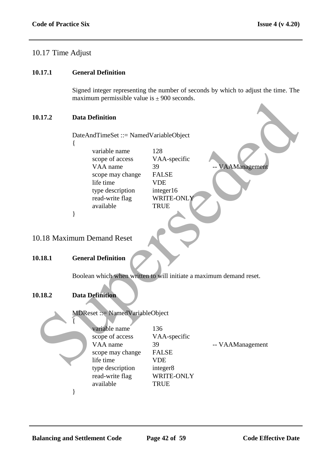# 10.17 Time Adjust

#### **10.17.1 General Definition**

Signed integer representing the number of seconds by which to adjust the time. The maximum permissible value is  $\pm 900$  seconds.

#### **10.17.2 Data Definition**

- {
- variable name 128 scope of access VAA-specific VAA name 39 -- VAAManagement scope may change FALSE life time VDE type description integer16 read-write flag WRITE-ONLY available TRUE

# 10.18 Maximum Demand Reset

#### **10.18.1 General Definition**

# **10.18.2 Data Definition**



|        | $max$ $min$ $min$ $sum$ $sum$ $sum$ $sum$ $sum$ $sum$ $sum$ $sum$ $sum$ $sum$                                                          |                                                                                                   |                  |
|--------|----------------------------------------------------------------------------------------------------------------------------------------|---------------------------------------------------------------------------------------------------|------------------|
| 0.17.2 | <b>Data Definition</b>                                                                                                                 |                                                                                                   |                  |
|        | DateAndTimeSet ::= NamedVariableObject                                                                                                 |                                                                                                   |                  |
|        | variable name<br>scope of access<br>VAA name<br>scope may change<br>life time<br>type description<br>read-write flag<br>available<br>} | 128<br>VAA-specific<br>39<br><b>FALSE</b><br><b>VDE</b><br>integer16<br>WRITE-ONLY<br><b>TRUE</b> | - VAAManagement  |
|        |                                                                                                                                        |                                                                                                   |                  |
|        | 0.18 Maximum Demand Reset                                                                                                              |                                                                                                   |                  |
| 0.18.1 | <b>General Definition</b>                                                                                                              |                                                                                                   |                  |
|        | Boolean which when written to will initiate a maximum demand reset.                                                                    |                                                                                                   |                  |
| 0.18.2 | <b>Data Definition</b>                                                                                                                 |                                                                                                   |                  |
|        | <b>MDReset ::= NamedVariableObject</b>                                                                                                 |                                                                                                   |                  |
|        | variable name<br>scope of access<br>VAA name<br>scope may change<br>life time<br>type description<br>read-write flag                   | 136<br>VAA-specific<br>39<br><b>FALSE</b><br><b>VDE</b><br>integer8<br>WRITE-ONLY                 | -- VAAManagement |
|        | available                                                                                                                              | <b>TRUE</b>                                                                                       |                  |

}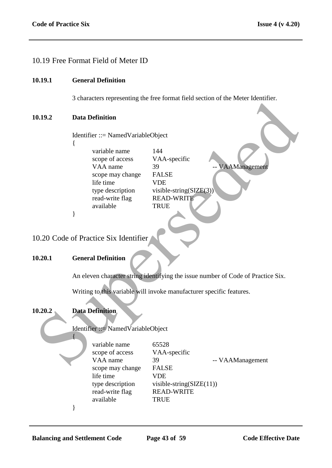# 10.19 Free Format Field of Meter ID

#### **10.19.1 General Definition**

3 characters representing the free format field section of the Meter Identifier.

#### **10.19.2 Data Definition**

{

}

Identifier ::= NamedVariableObject

variable name 144 scope of access VAA-specific VAA name 39 -- VAAManagement scope may change FALSE life time VDE type description visible-string(SIZE(3)) read-write flag READ-WRITE available TRUE 0.19.2<br>
Data Definition<br>
Identifier ::= Named VariableObject<br>
(variable name<br>
scope may change<br>
Super description<br>
We are supersed with the straig CSE/EG3)<br>
If the time<br>
available<br>
19.20.2 Code of Practice Six Identifier<br>

10.20 Code of Practice Six Identifier

#### **10.20.1 General Definition**

An eleven character string identifying the issue number of Code of Practice Six.

Writing to this variable will invoke manufacturer specific features.

#### **10.20.2 Data Definition**

{

Identifier ::= NamedVariableObject

variable name 65528 scope of access VAA-specific scope may change FALSE life time VDE read-write flag READ-WRITE available TRUE

VAA name 39 -- VAAManagement type description visible-string(SIZE(11))

}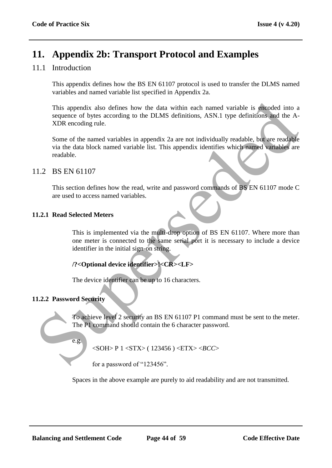# **11. Appendix 2b: Transport Protocol and Examples**

# 11.1 Introduction

This appendix defines how the BS EN 61107 protocol is used to transfer the DLMS named variables and named variable list specified in Appendix 2a.

This appendix also defines how the data within each named variable is encoded into a sequence of bytes according to the DLMS definitions, ASN.1 type definitions and the A-XDR encoding rule. This appendix also defines how the data within each named variable is encoded into a<br>sequence of hypes according to the DLMS definitions, ASN.1 type definitions, and the A-<br>SUPE encoding rule.<br>Super-<br>of the named variable

Some of the named variables in appendix 2a are not individually readable, but are readable via the data block named variable list. This appendix identifies which named variables are readable.

# 11.2 BS EN 61107

This section defines how the read, write and password commands of BS EN 61107 mode C are used to access named variables.

# **11.2.1 Read Selected Meters**

This is implemented via the multi-drop option of BS EN 61107. Where more than one meter is connected to the same serial port it is necessary to include a device identifier in the initial sign-on string.

# **/?<Optional device identifier>!<CR><LF>**

The device identifier can be up to 16 characters.

# **11.2.2 Password Security**

To achieve level 2 security an BS EN 61107 P1 command must be sent to the meter. The P1 command should contain the 6 character password.

e.g.

<SOH> P 1 <STX> ( 123456 ) <ETX> <*BCC*>

for a password of "123456".

Spaces in the above example are purely to aid readability and are not transmitted.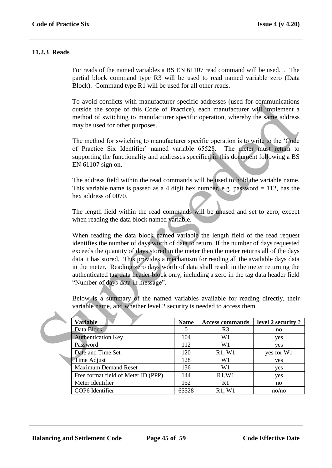#### **11.2.3 Reads**

For reads of the named variables a BS EN 61107 read command will be used. . The partial block command type R3 will be used to read named variable zero (Data Block). Command type R1 will be used for all other reads.

To avoid conflicts with manufacturer specific addresses (used for communications outside the scope of this Code of Practice), each manufacturer will implement a method of switching to manufacturer specific operation, whereby the same address may be used for other purposes.

The method for switching to manufacturer specific operation is to write to the "Code of Practice Six Identifier" named variable 65528. The meter must return to supporting the functionality and addresses specified in this document following a BS EN 61107 sign on.

The address field within the read commands will be used to hold the variable name. This variable name is passed as a 4 digit hex number, e.g. password  $= 112$ , has the hex address of 0070.

The length field within the read commands will be unused and set to zero, except when reading the data block named variable.

When reading the data block named variable the length field of the read request identifies the number of days worth of data to return. If the number of days requested exceeds the quantity of days stored in the meter then the meter returns all of the days data it has stored. This provides a mechanism for reading all the available days data in the meter. Reading zero days worth of data shall result in the meter returning the authenticated tag data header block only, including a zero in the tag data header field "Number of days data in message". To avoid contrits with manufacturer specific addresses (used for communications<br>nuiside the scope of this Code of Practice), each manufacturer wijl implement a<br>method of switching to manufacturer specific operation, where

Below is a summary of the named variables available for reading directly, their variable name, and whether level 2 security is needed to access them.

| <b>Variable</b>                     | <b>Name</b>  | <b>Access commands</b> | level 2 security? |
|-------------------------------------|--------------|------------------------|-------------------|
| Data Block                          | $\mathbf{0}$ | R <sub>3</sub>         | no                |
| <b>Authentication Key</b>           | 104          | W1                     | yes               |
| Password                            | 112          | W1                     | yes               |
| Date and Time Set                   | 120          | R1, W1                 | yes for W1        |
| Time Adjust                         | 128          | W1                     | yes               |
| <b>Maximum Demand Reset</b>         | 136          | W <sub>1</sub>         | yes               |
| Free format field of Meter ID (PPP) | 144          | R1, W1                 | yes               |
| Meter Identifier                    | 152          | R1                     | no                |
| COP6 Identifier                     | 65528        | R1, W1                 | no/no             |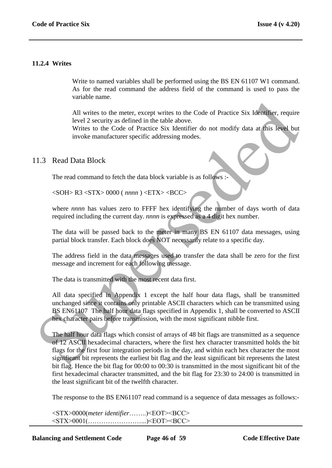#### **11.2.4 Writes**

Write to named variables shall be performed using the BS EN 61107 W1 command. As for the read command the address field of the command is used to pass the variable name.

All writes to the meter, except writes to the Code of Practice Six Identifier, require level 2 security as defined in the table above.

Writes to the Code of Practice Six Identifier do not modify data at this level but invoke manufacturer specific addressing modes.

#### 11.3 Read Data Block

The read command to fetch the data block variable is as follows :-

<SOH> R3 <STX> 0000 ( *nnnn* ) <ETX> <BCC>

where *nnnn* has values zero to FFFF hex identifying the number of days worth of data required including the current day. *nnnn* is expressed as a 4 digit hex number.

The data will be passed back to the meter in many BS EN 61107 data messages, using partial block transfer. Each block does NOT necessarily relate to a specific day.

The address field in the data messages used to transfer the data shall be zero for the first message and increment for each following message.

The data is transmitted with the most recent data first.

All data specified in Appendix 1 except the half hour data flags, shall be transmitted unchanged since it contains only printable ASCII characters which can be transmitted using BS EN61107 The half hour data flags specified in Appendix 1, shall be converted to ASCII hex character pairs before transmission, with the most significant nibble first.

The half hour data flags which consist of arrays of 48 bit flags are transmitted as a sequence of 12 ASCII hexadecimal characters, where the first hex character transmitted holds the bit flags for the first four integration periods in the day, and within each hex character the most significant bit represents the earliest bit flag and the least significant bit represents the latest bit flag. Hence the bit flag for 00:00 to 00:30 is transmitted in the most significant bit of the first hexadecimal character transmitted, and the bit flag for 23:30 to 24:00 is transmitted in the least significant bit of the twelfth character. All writes to the meter, except writes to the Code of Practice Six Identifier, require<br>level 2 security as defined in the table above.<br>Writes to the Code of Practice Six Identifier do not modify data at fits level but<br>inv

The response to the BS EN61107 read command is a sequence of data messages as follows:-

<STX>0000(*meter identifier*……..)<EOT><BCC> <STX>0001(……………………...)<EOT><BCC>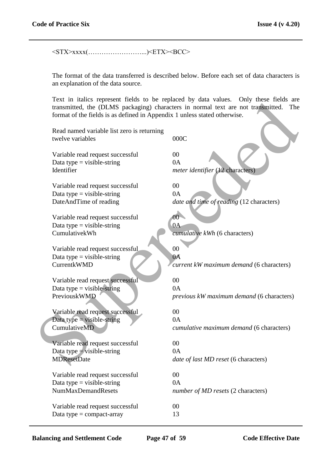<STX>xxxx(……………………...)<ETX><BCC>

The format of the data transferred is described below. Before each set of data characters is an explanation of the data source.

Text in italics represent fields to be replaced by data values. Only these fields are transmitted, the (DLMS packaging) characters in normal text are not transmitted. The format of the fields is as defined in Appendix 1 unless stated otherwise.

| format of the fields is as defined in Appendix 1 unless stated otherwise. | Fext in nancs represent fields to be replaced by data values. Only these fields are<br>transmitted, the (DLMS packaging) characters in normal text are not transmitted.<br>The |
|---------------------------------------------------------------------------|--------------------------------------------------------------------------------------------------------------------------------------------------------------------------------|
| Read named variable list zero is returning<br>twelve variables            | 000C                                                                                                                                                                           |
| Variable read request successful                                          | 00                                                                                                                                                                             |
| Data type = visible-string                                                | 0A                                                                                                                                                                             |
| Identifier                                                                | meter identifier (12 characters)                                                                                                                                               |
| Variable read request successful                                          | 00                                                                                                                                                                             |
| Data type $=$ visible-string                                              | 0A                                                                                                                                                                             |
| DateAndTime of reading                                                    | date and time of reading (12 characters)                                                                                                                                       |
| Variable read request successful                                          | 00 <sup>1</sup>                                                                                                                                                                |
| Data type $=$ visible-string                                              | 0A                                                                                                                                                                             |
| CumulativekWh                                                             | cumulative kWh (6 characters)                                                                                                                                                  |
| Variable read request successful                                          | 00                                                                                                                                                                             |
| Data type $=$ visible-string                                              | 0A                                                                                                                                                                             |
| <b>CurrentkWMD</b>                                                        | current kW maximum demand (6 characters)                                                                                                                                       |
| Variable read request successful                                          | 00                                                                                                                                                                             |
| Data type = visible-string                                                | 0A                                                                                                                                                                             |
| PreviouskWMD                                                              | previous kW maximum demand (6 characters)                                                                                                                                      |
| Variable read request successful                                          | 00                                                                                                                                                                             |
| Data type = visible-string                                                | 0A                                                                                                                                                                             |
| CumulativeMD                                                              | cumulative maximum demand (6 characters)                                                                                                                                       |
| Variable read request successful                                          | 00                                                                                                                                                                             |
| Data type $=$ visible-string                                              | 0A                                                                                                                                                                             |
| <b>MDResetDate</b>                                                        | <i>date of last MD reset</i> (6 characters)                                                                                                                                    |
| Variable read request successful                                          | $00\,$                                                                                                                                                                         |
| Data type $=$ visible-string                                              | 0A                                                                                                                                                                             |
| <b>NumMaxDemandResets</b>                                                 | number of MD resets (2 characters)                                                                                                                                             |
| Variable read request successful                                          | $00\,$                                                                                                                                                                         |
| Data type $=$ compact-array                                               | 13                                                                                                                                                                             |

**Balancing and Settlement Code Page 47 of 59 Code Effective Date**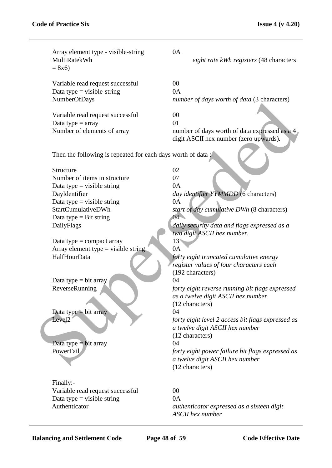| Array element type - visible-string<br>MultiRatekWh<br>$= 8x6$                                                                                                                                                                                                                                                                                                                                                         | 0A<br>eight rate kWh registers (48 characters                                                                                                                                                                                                                                                                                                                                                                                                                                                                                                                                                                                                                                             |
|------------------------------------------------------------------------------------------------------------------------------------------------------------------------------------------------------------------------------------------------------------------------------------------------------------------------------------------------------------------------------------------------------------------------|-------------------------------------------------------------------------------------------------------------------------------------------------------------------------------------------------------------------------------------------------------------------------------------------------------------------------------------------------------------------------------------------------------------------------------------------------------------------------------------------------------------------------------------------------------------------------------------------------------------------------------------------------------------------------------------------|
| Variable read request successful<br>Data type $=$ visible-string<br>NumberOfDays                                                                                                                                                                                                                                                                                                                                       | 00<br>0A<br>number of days worth of data (3 characters)                                                                                                                                                                                                                                                                                                                                                                                                                                                                                                                                                                                                                                   |
| Variable read request successful<br>Data type $=$ array<br>Number of elements of array                                                                                                                                                                                                                                                                                                                                 | 00<br>01<br>number of days worth of data expressed as a 4<br>digit ASCII hex number (zero upwards).                                                                                                                                                                                                                                                                                                                                                                                                                                                                                                                                                                                       |
| Then the following is repeated for each days worth of data:                                                                                                                                                                                                                                                                                                                                                            |                                                                                                                                                                                                                                                                                                                                                                                                                                                                                                                                                                                                                                                                                           |
| Structure<br>Number of items in structure<br>Data type $=$ visible string<br>DayIdentifier<br>Data type = visible string<br>StartCumulativeDWh<br>Data type $=$ Bit string<br>DailyFlags<br>Data type $=$ compact array<br>Array element type $=$ visible string<br>HalfHourData<br>Data type $=$ bit array<br>ReverseRunning<br>Data type $=$ bit array<br>Level <sub>2</sub><br>Data type $=$ bit array<br>PowerFail | 02<br>07<br>0A<br>day identifier YYMMDD (6 characters)<br>0A<br>start of day cumulative DWh (8 characters)<br>$04 -$<br>daily security data and flags expressed as a<br>two digit ASCII hex number.<br>13 <sup>1</sup><br>0A<br>forty eight truncated cumulative energy<br>register values of four characters each<br>(192 characters)<br>04<br>forty eight reverse running bit flags expressed<br>as a twelve digit ASCII hex number<br>(12 characters)<br>04<br>forty eight level 2 access bit flags expressed as<br>a twelve digit ASCII hex number<br>(12 characters)<br>04<br>forty eight power failure bit flags expressed as<br>a twelve digit ASCII hex number<br>(12 characters) |
| Finally:-<br>Variable read request successful<br>Data type = visible string<br>Authenticator                                                                                                                                                                                                                                                                                                                           | 00<br>0A<br>authenticator expressed as a sixteen digit<br><b>ASCII</b> hex number                                                                                                                                                                                                                                                                                                                                                                                                                                                                                                                                                                                                         |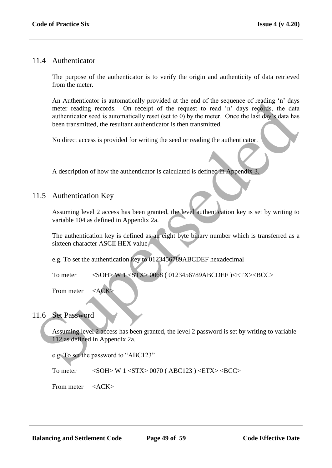# 11.4 Authenticator

The purpose of the authenticator is to verify the origin and authenticity of data retrieved from the meter.

An Authenticator is automatically provided at the end of the sequence of reading "n" days meter reading records. On receipt of the request to read "n" days records, the data authenticator seed is automatically reset (set to 0) by the meter. Once the last day"s data has been transmitted, the resultant authenticator is then transmitted. A Authentichator is automatically provided at the end of the sequence of reading in a<br>neutron and procedure metric and the capture of the request to each determination<br>authentical vectors and the state of the state of the

No direct access is provided for writing the seed or reading the authenticator.

A description of how the authenticator is calculated is defined in Appendix 3.

# 11.5 Authentication Key

Assuming level 2 access has been granted, the level authentication key is set by writing to variable 104 as defined in Appendix 2a.

The authentication key is defined as an eight byte binary number which is transferred as a sixteen character ASCII HEX value

e.g. To set the authentication key to 0123456789ABCDEF hexadecimal

To meter <SOH> W 1 <STX> 0068 ( 0123456789ABCDEF )<ETX><BCC>

From meter  $\langle ACK \rangle$ 

# 11.6 Set Password

Assuming level 2 access has been granted, the level 2 password is set by writing to variable 112 as defined in Appendix 2a.

e.g. To set the password to "ABC123"

To meter  $\langle \text{SOH} \rangle$  W 1  $\langle \text{STX} \rangle$  0070 (ABC123)  $\langle \text{ETX} \rangle$  <BCC>

From meter <ACK>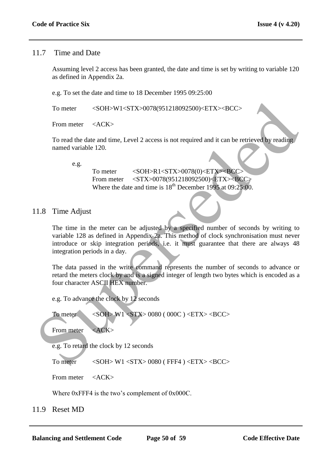# 11.7 Time and Date

Assuming level 2 access has been granted, the date and time is set by writing to variable 120 as defined in Appendix 2a.

e.g. To set the date and time to 18 December 1995 09:25:00

To meter <SOH>W1<STX>0078(951218092500)<ETX><BCC>

From meter <ACK>

To read the date and time, Level 2 access is not required and it can be retrieved by reading named variable 120.

e.g.

To meter <SOH>R1<STX>0078(0)<ETX><BCC> From meter <STX>0078(951218092500)<ETX><BCC> Where the date and time is  $18^{th}$  December 1995 at 09:25:00.

# 11.8 Time Adjust

The time in the meter can be adjusted by a specified number of seconds by writing to variable 128 as defined in Appendix 2a. This method of clock synchronisation must never introduce or skip integration periods, i.e. it must guarantee that there are always 48 integration periods in a day. To meter <br>  $\le$  SOH-W1-STX-0078(951218092500)-ETX--BCC><br>
From meter  $\le$  ACK><br>
To read the date and time, Level 2 access is not required and it can be retrieved by reading<br>
named variable 120.<br>  $\therefore$ <br>  $\therefore$ <br>
To meter  $\le$ 

The data passed in the write command represents the number of seconds to advance or retard the meters clock by and is a signed integer of length two bytes which is encoded as a four character ASCII HEX number.

e.g. To advance the clock by 12 seconds

To meter <SOH> W1 <STX> 0080 ( 000C ) <ETX> <BCC>

From meter <ACK>

e.g. To retard the clock by 12 seconds

To meter <SOH> W1 <STX> 0080 (FFF4 ) <ETX> <BCC>

From meter <ACK>

Where 0xFFF4 is the two's complement of 0x000C.

11.9 Reset MD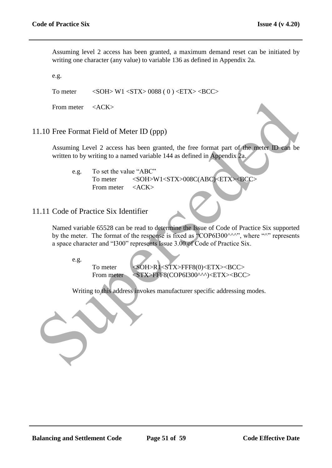Assuming level 2 access has been granted, a maximum demand reset can be initiated by writing one character (any value) to variable 136 as defined in Appendix 2a.

e.g.

To meter  $\langle \text{SOH} \rangle$  W1  $\langle \text{STX} \rangle$  0088 ( 0 )  $\langle \text{ETX} \rangle$  <BCC>

From meter <ACK>

## 11.10 Free Format Field of Meter ID (ppp)

Assuming Level 2 access has been granted, the free format part of the meter ID can be written to by writing to a named variable 144 as defined in Appendix 2a.

e.g. To set the value "ABC" To meter <SOH>W1<STX>008C(ABC)<ETX><BCC> From meter <ACK>

# 11.11 Code of Practice Six Identifier

Named variable 65528 can be read to determine the Issue of Code of Practice Six supported by the meter. The format of the response is fixed as "COP6I300 $\land\land\land\%$ ", where " $\land\%$ " represents a space character and "I300" represents Issue 3.00 of Code of Practice Six. From meter cacks<br>
1.10 Free Format Field of Meter ID (ppp)<br>
Assuming Level 2 access has been granted, the free format part of the meter ID can be<br>
written to by writing to a named variable 14 as defined in Appendix 2a.<br>
C

e.g.

To meter <SOH>R1<STX>FFF8(0)<ETX><BCC> From meter <STX>FFF8(COP6I300^^^)<ETX><BCC>

Writing to this address invokes manufacturer specific addressing modes.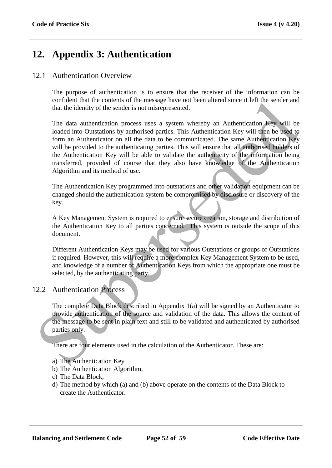# **12. Appendix 3: Authentication**

# 12.1 Authentication Overview

The purpose of authentication is to ensure that the receiver of the information can be confident that the contents of the message have not been altered since it left the sender and that the identity of the sender is not misrepresented.

The data authentication process uses a system whereby an Authentication Key will be loaded into Outstations by authorised parties. This Authentication Key will then be used to form an Authenticator on all the data to be communicated. The same Authentication Key will be provided to the authenticating parties. This will ensure that all authorised holders of the Authentication Key will be able to validate the authenticity of the information being transferred, provided of course that they also have knowledge of the Authentication Algorithm and its method of use. contained the columents of the inessing rate in the colume term and the colume of the measurement of the measurement of the measurement of the distribution of the distribution in a Authentication process uses a system wher

The Authentication Key programmed into outstations and other validation equipment can be changed should the authentication system be compromised by disclosure or discovery of the key.

A Key Management System is required to ensure secure creation, storage and distribution of the Authentication Key to all parties concerned. This system is outside the scope of this document.

Different Authentication Keys may be used for various Outstations or groups of Outstations if required. However, this will require a more complex Key Management System to be used, and knowledge of a number of Authentication Keys from which the appropriate one must be selected, by the authenticating party.

# 12.2 Authentication Process

The complete Data Block described in Appendix 1(a) will be signed by an Authenticator to provide authentication of the source and validation of the data. This allows the content of the message to be sent in plain text and still to be validated and authenticated by authorised parties only.

There are four elements used in the calculation of the Authenticator. These are:

- a) The Authentication Key
- b) The Authentication Algorithm,
- c) The Data Block,
- d) The method by which (a) and (b) above operate on the contents of the Data Block to create the Authenticator.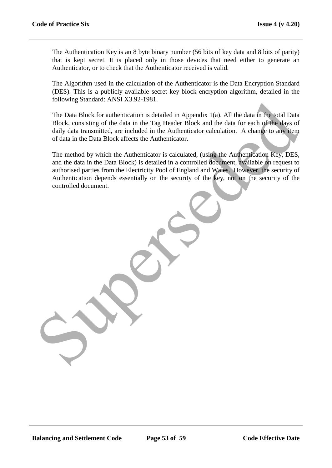The Authentication Key is an 8 byte binary number (56 bits of key data and 8 bits of parity) that is kept secret. It is placed only in those devices that need either to generate an Authenticator, or to check that the Authenticator received is valid.

The Algorithm used in the calculation of the Authenticator is the Data Encryption Standard (DES). This is a publicly available secret key block encryption algorithm, detailed in the following Standard: ANSI X3.92-1981.

The Data Block for authentication is detailed in Appendix 1(a). All the data in the total Data Block, consisting of the data in the Tag Header Block and the data for each of the days of daily data transmitted, are included in the Authenticator calculation. A change to any item of data in the Data Block affects the Authenticator.

The method by which the Authenticator is calculated, (using the Authentication Key, DES, and the data in the Data Block) is detailed in a controlled document, available on request to authorised parties from the Electricity Pool of England and Wales. However, the security of Authentication depends essentially on the security of the key, not on the security of the controlled document. The Data Block for authentication is detailed in Appendix 1(a). All the data in the total Data<br>Block, consisting of the data in the Tag Header Block and the data for each of the lays of<br>dily data transmitted, or included i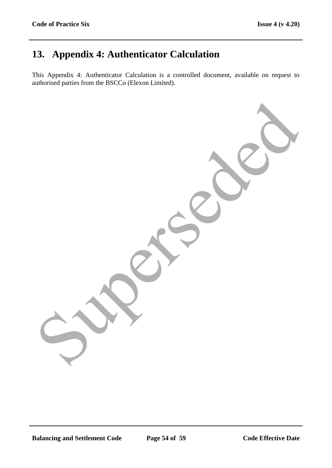# **13. Appendix 4: Authenticator Calculation**

This Appendix 4: Authenticator Calculation is a controlled document, available on request to authorised parties from the BSCCo (Elexon Limited).

Superseded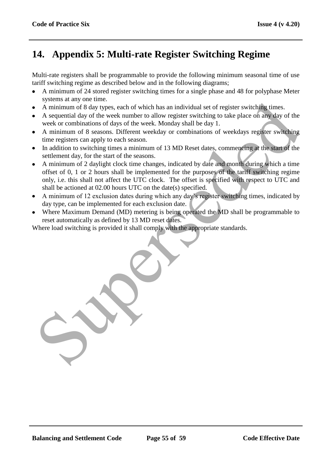# **14. Appendix 5: Multi-rate Register Switching Regime**

Multi-rate registers shall be programmable to provide the following minimum seasonal time of use tariff switching regime as described below and in the following diagrams;

- A minimum of 24 stored register switching times for a single phase and 48 for polyphase Meter systems at any one time.
- A minimum of 8 day types, each of which has an individual set of register switching times.
- A sequential day of the week number to allow register switching to take place on any day of the week or combinations of days of the week. Monday shall be day 1.
- A minimum of 8 seasons. Different weekday or combinations of weekdays register switching time registers can apply to each season.
- In addition to switching times a minimum of 13 MD Reset dates, commencing at the start of the settlement day, for the start of the seasons.
- A minimum of 2 daylight clock time changes, indicated by date and month during which a time offset of 0, 1 or 2 hours shall be implemented for the purposes of the tariff switching regime only, i.e. this shall not affect the UTC clock. The offset is specified with respect to UTC and shall be actioned at 02.00 hours UTC on the date(s) specified. s special and y the weak number of the state of register switching times.<br>A minimum of 8 day types, each of which has an individual set of register switching times.<br>A sequential day of the week mumber to allow register swi
- A minimum of 12 exclusion dates during which any day's register switching times, indicated by day type, can be implemented for each exclusion date.
- Where Maximum Demand (MD) metering is being operated the MD shall be programmable to reset automatically as defined by 13 MD reset dates.

Where load switching is provided it shall comply with the appropriate standards.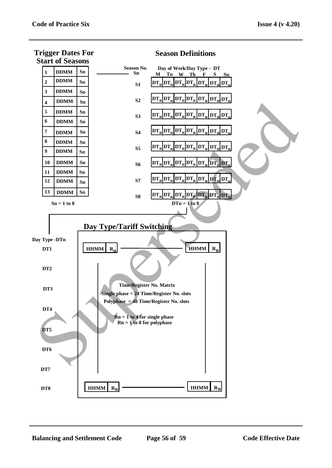**Trigger Dates For**



## **Season Definitions**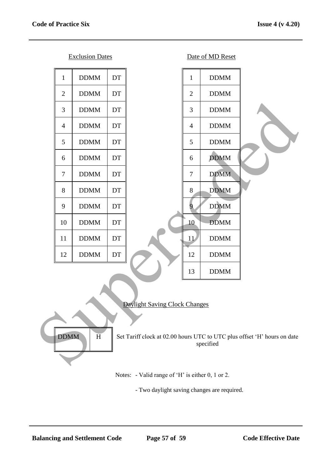

# Daylight Saving Clock Changes

DDMM H Set Tariff clock at 02.00 hours UTC to UTC plus offset 'H' hours on date specified

Notes: - Valid range of 'H' is either 0, 1 or 2.

- Two daylight saving changes are required.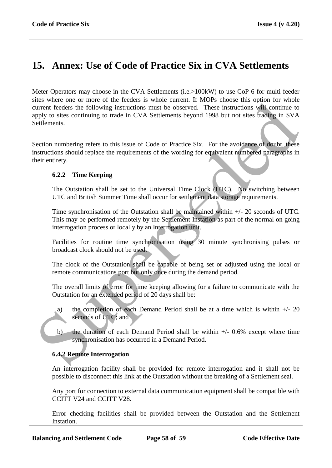# **15. Annex: Use of Code of Practice Six in CVA Settlements**

Meter Operators may choose in the CVA Settlements (i.e.>100kW) to use CoP 6 for multi feeder sites where one or more of the feeders is whole current. If MOPs choose this option for whole current feeders the following instructions must be observed. These instructions will continue to apply to sites continuing to trade in CVA Settlements beyond 1998 but not sites trading in SVA Settlements. So where one of into the recesses is some current. If worst concose units quick that the semistron in the summative decision is the concosed. These instructions will continue to<br>eight to since of one of the CVA Settlement

Section numbering refers to this issue of Code of Practice Six. For the avoidance of doubt, these instructions should replace the requirements of the wording for equivalent numbered paragraphs in their entirety.

# **6.2.2 Time Keeping**

The Outstation shall be set to the Universal Time Clock (UTC). No switching between UTC and British Summer Time shall occur for settlement data storage requirements.

Time synchronisation of the Outstation shall be maintained within +/- 20 seconds of UTC. This may be performed remotely by the Settlement Instation as part of the normal on going interrogation process or locally by an Interrogation unit.

Facilities for routine time synchronisation using 30 minute synchronising pulses or broadcast clock should not be used.

The clock of the Outstation shall be capable of being set or adjusted using the local or remote communications port but only once during the demand period.

The overall limits of error for time keeping allowing for a failure to communicate with the Outstation for an extended period of 20 days shall be:

- a) the completion of each Demand Period shall be at a time which is within  $+/- 20$ seconds of UTC; and
- b) the duration of each Demand Period shall be within  $+/-$  0.6% except where time synchronisation has occurred in a Demand Period.

# **6.4.2 Remote Interrogation**

An interrogation facility shall be provided for remote interrogation and it shall not be possible to disconnect this link at the Outstation without the breaking of a Settlement seal.

Any port for connection to external data communication equipment shall be compatible with CCITT V24 and CCITT V28.

Error checking facilities shall be provided between the Outstation and the Settlement Instation.